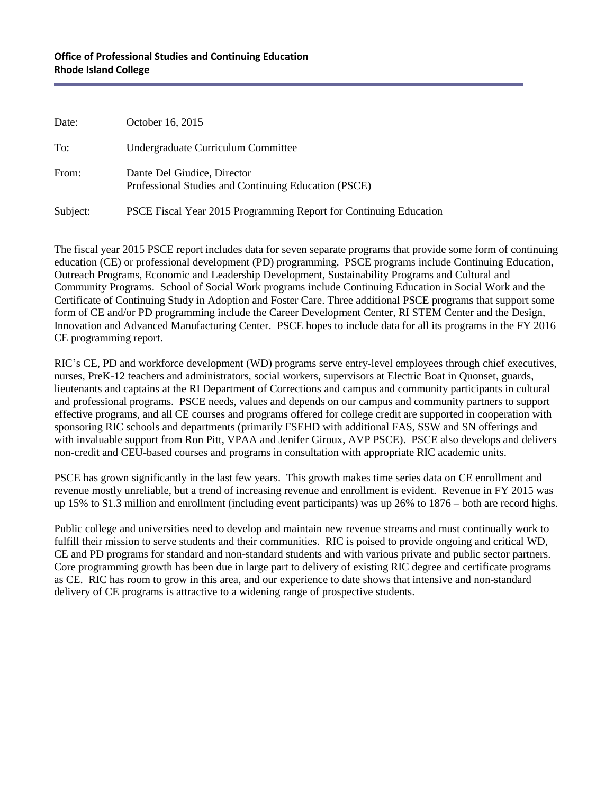## **Office of Professional Studies and Continuing Education Rhode Island College**

| Date:    | October 16, 2015                                                                    |
|----------|-------------------------------------------------------------------------------------|
| To:      | Undergraduate Curriculum Committee                                                  |
| From:    | Dante Del Giudice, Director<br>Professional Studies and Continuing Education (PSCE) |
| Subject: | PSCE Fiscal Year 2015 Programming Report for Continuing Education                   |

The fiscal year 2015 PSCE report includes data for seven separate programs that provide some form of continuing education (CE) or professional development (PD) programming. PSCE programs include Continuing Education, Outreach Programs, Economic and Leadership Development, Sustainability Programs and Cultural and Community Programs. School of Social Work programs include Continuing Education in Social Work and the Certificate of Continuing Study in Adoption and Foster Care. Three additional PSCE programs that support some form of CE and/or PD programming include the Career Development Center, RI STEM Center and the Design, Innovation and Advanced Manufacturing Center. PSCE hopes to include data for all its programs in the FY 2016 CE programming report.

RIC's CE, PD and workforce development (WD) programs serve entry-level employees through chief executives, nurses, PreK-12 teachers and administrators, social workers, supervisors at Electric Boat in Quonset, guards, lieutenants and captains at the RI Department of Corrections and campus and community participants in cultural and professional programs. PSCE needs, values and depends on our campus and community partners to support effective programs, and all CE courses and programs offered for college credit are supported in cooperation with sponsoring RIC schools and departments (primarily FSEHD with additional FAS, SSW and SN offerings and with invaluable support from Ron Pitt, VPAA and Jenifer Giroux, AVP PSCE). PSCE also develops and delivers non-credit and CEU-based courses and programs in consultation with appropriate RIC academic units.

PSCE has grown significantly in the last few years. This growth makes time series data on CE enrollment and revenue mostly unreliable, but a trend of increasing revenue and enrollment is evident. Revenue in FY 2015 was up 15% to \$1.3 million and enrollment (including event participants) was up 26% to 1876 – both are record highs.

Public college and universities need to develop and maintain new revenue streams and must continually work to fulfill their mission to serve students and their communities. RIC is poised to provide ongoing and critical WD, CE and PD programs for standard and non-standard students and with various private and public sector partners. Core programming growth has been due in large part to delivery of existing RIC degree and certificate programs as CE. RIC has room to grow in this area, and our experience to date shows that intensive and non-standard delivery of CE programs is attractive to a widening range of prospective students.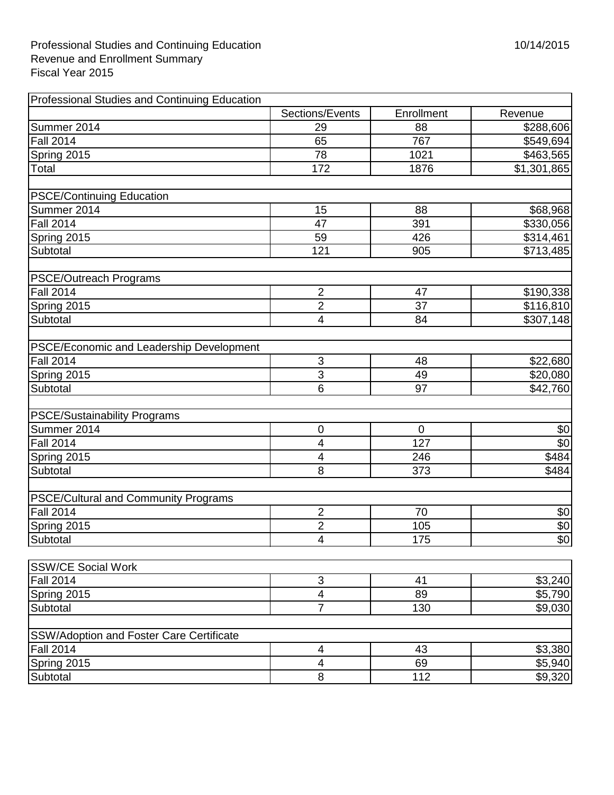| Professional Studies and Continuing Education   |                          |             |             |
|-------------------------------------------------|--------------------------|-------------|-------------|
|                                                 | Sections/Events          | Enrollment  | Revenue     |
| Summer 2014                                     | 29                       | 88          | \$288,606   |
| <b>Fall 2014</b>                                | 65                       | 767         | \$549,694   |
| Spring 2015                                     | 78                       | 1021        | \$463,565   |
| Total                                           | 172                      | 1876        | \$1,301,865 |
| <b>PSCE/Continuing Education</b>                |                          |             |             |
| Summer 2014                                     | 15                       | 88          | \$68,968    |
| <b>Fall 2014</b>                                | 47                       | 391         | \$330,056   |
| Spring 2015                                     | 59                       | 426         | \$314,461   |
| Subtotal                                        | 121                      | 905         | \$713,485   |
| <b>PSCE/Outreach Programs</b>                   |                          |             |             |
| <b>Fall 2014</b>                                | $\overline{2}$           | 47          | \$190,338   |
| Spring 2015                                     | $\overline{2}$           | 37          | \$116,810   |
| Subtotal                                        | $\overline{\mathcal{A}}$ | 84          | \$307,148   |
|                                                 |                          |             |             |
| PSCE/Economic and Leadership Development        |                          |             |             |
| <b>Fall 2014</b>                                | 3                        | 48          | \$22,680    |
| Spring 2015                                     | 3                        | 49          | \$20,080    |
| Subtotal                                        | 6                        | 97          | \$42,760    |
| <b>PSCE/Sustainability Programs</b>             |                          |             |             |
| Summer 2014                                     | 0                        | $\mathbf 0$ | \$0         |
| <b>Fall 2014</b>                                | $\overline{4}$           | 127         | \$0         |
| Spring 2015                                     | 4                        | 246         | \$484       |
| Subtotal                                        | 8                        | 373         | \$484       |
| <b>PSCE/Cultural and Community Programs</b>     |                          |             |             |
| <b>Fall 2014</b>                                | $\overline{2}$           | 70          | \$0         |
| Spring 2015                                     | $\overline{2}$           | 105         | \$0         |
| Subtotal                                        | $\overline{\mathbf{4}}$  | 175         | \$0         |
| <b>SSW/CE Social Work</b>                       |                          |             |             |
| <b>Fall 2014</b>                                | 3                        | 41          | \$3,240     |
| Spring 2015                                     | $\overline{\mathbf{4}}$  | 89          | \$5,790     |
| Subtotal                                        | $\overline{7}$           | 130         | \$9,030     |
| <b>SSW/Adoption and Foster Care Certificate</b> |                          |             |             |
| <b>Fall 2014</b>                                | 4                        | 43          | \$3,380     |
| Spring 2015                                     | 4                        | 69          | \$5,940     |
| Subtotal                                        | 8                        | 112         | \$9,320     |
|                                                 |                          |             |             |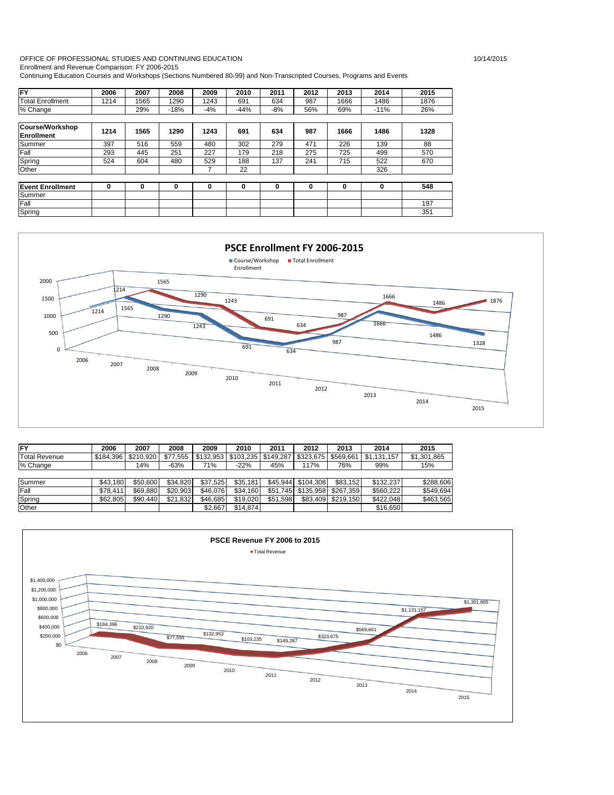### OFFICE OF PROFESSIONAL STUDIES AND CONTINUING EDUCATION 10/14/2015

Enrollment and Revenue Comparison: FY 2006-2015

Continuing Education Courses and Workshops (Sections Numbered 80-99) and Non-Transcripted Courses, Programs and Events

| <b>FY</b>                                   | 2006 | 2007 | 2008   | 2009  | 2010   | 2011  | 2012 | 2013 | 2014   | 2015 |
|---------------------------------------------|------|------|--------|-------|--------|-------|------|------|--------|------|
| <b>Total Enrollment</b>                     | 1214 | 1565 | 1290   | 1243  | 691    | 634   | 987  | 1666 | 1486   | 1876 |
| % Change                                    |      | 29%  | $-18%$ | $-4%$ | $-44%$ | $-8%$ | 56%  | 69%  | $-11%$ | 26%  |
|                                             |      |      |        |       |        |       |      |      |        |      |
| <b>Course/Workshop</b><br><b>Enrollment</b> | 1214 | 1565 | 1290   | 1243  | 691    | 634   | 987  | 1666 | 1486   | 1328 |
| Summer                                      | 397  | 516  | 559    | 480   | 302    | 279   | 471  | 226  | 139    | 88   |
| Fall                                        | 293  | 445  | 251    | 227   | 179    | 218   | 275  | 725  | 499    | 570  |
| Spring                                      | 524  | 604  | 480    | 529   | 188    | 137   | 241  | 715  | 522    | 670  |
| Other                                       |      |      |        |       | 22     |       |      |      | 326    |      |
| <b>Event Enrollment</b>                     | 0    | 0    | 0      | 0     | 0      | 0     | 0    | 0    | 0      | 548  |
| Summer                                      |      |      |        |       |        |       |      |      |        |      |
| Fall                                        |      |      |        |       |        |       |      |      |        | 197  |
| Spring                                      |      |      |        |       |        |       |      |      |        | 351  |



| <b>FY</b>            | 2006      | 2007      | 2008     | 2009      | 2010      | 2011      | 2012               | 2013      | 2014        | 2015        |
|----------------------|-----------|-----------|----------|-----------|-----------|-----------|--------------------|-----------|-------------|-------------|
| <b>Total Revenue</b> | \$184.396 | \$210.920 | \$77.555 | \$132.953 | \$103,235 | \$149.287 | \$323.675          | \$569.661 | \$1.131.157 | \$1.301.865 |
| % Change             |           | 14%       | $-63%$   | 71%       | $-22%$    | 45%       | 117%               | 76%       | 99%         | 15%         |
|                      |           |           |          |           |           |           |                    |           |             |             |
| Summer               | \$43.180  | \$50,600  | \$34.820 | \$37.525  | \$35.181  |           | \$45.944 \$104.308 | \$83.152  | \$132.237   | \$288.606   |
| Fall                 | \$78.411  | \$69.880  | \$20.903 | \$46.076  | \$34,160  | \$51.745  | \$135.958          | \$267.359 | \$560.222   | \$549.694   |
| Spring               | \$62.805  | \$90.440  | \$21,832 | \$46.685  | \$19.020  | \$51.598  | \$83.409           | \$219.150 | \$422.048   | \$463.565   |
| Other                |           |           |          | \$2.667   | \$14,874  |           |                    |           | \$16,650    |             |

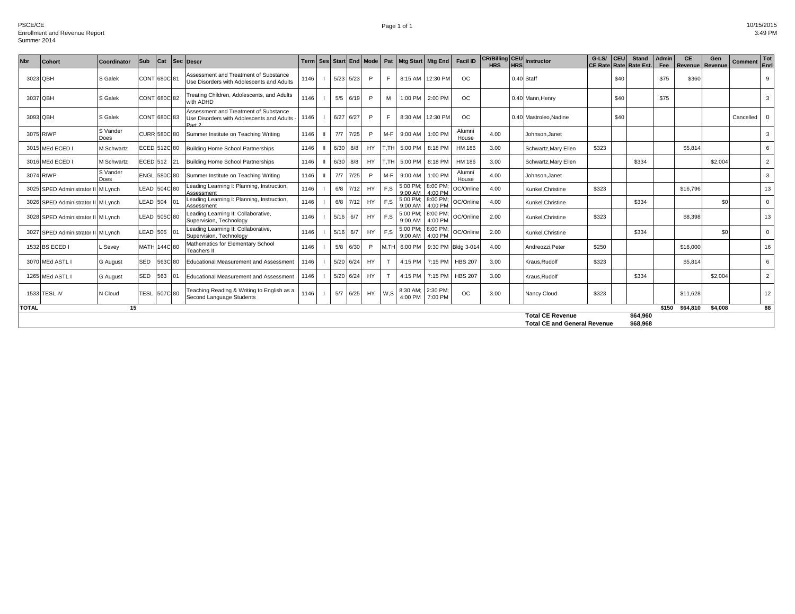| <b>Nbr</b>   | <b>Cohort</b>                      | Coordinator      | Sub                 | Cat |         | Sec Descr                                                                                    |      |      |      | Term   Ses   Start   End   Mode   Pat |       | Mtg Start   Mtg End |                     | <b>Facil ID</b>   | <b>HRS</b> | <b>HRS</b> | <b>CR/Billing CEU</b> Instructor                               | $G-LS/$ | <b>CEU</b> | <b>Stand</b><br>CE Rate Rate Rate Est. | Admin<br><b>Fee</b> | <b>CE</b><br><b>Revenue   Revenue</b> | Gen     | Comment   | Tot<br>Enrl             |
|--------------|------------------------------------|------------------|---------------------|-----|---------|----------------------------------------------------------------------------------------------|------|------|------|---------------------------------------|-------|---------------------|---------------------|-------------------|------------|------------|----------------------------------------------------------------|---------|------------|----------------------------------------|---------------------|---------------------------------------|---------|-----------|-------------------------|
| 3023 QBH     |                                    | S Galek          | CONT 680C 81        |     |         | Assessment and Treatment of Substance<br>Use Disorders with Adolescents and Adults           | 1146 | 5/23 | 5/23 | P                                     | F     | 8:15 AM             | 12:30 PM            | <b>OC</b>         |            |            | 0.40 Staff                                                     |         | \$40       |                                        | \$75                | \$360                                 |         |           | 9                       |
| 3037 QBH     |                                    | S Galek          | CONT 680C 82        |     |         | Treating Children, Adolescents, and Adults<br>with ADHD                                      | 1146 | 5/5  | 6/19 | P                                     | M     | 1:00 PM             | 2:00 PM             | OC.               |            |            | 0.40 Mann.Henry                                                |         | \$40       |                                        | \$75                |                                       |         |           | 3                       |
| 3093 QBH     |                                    | S Galek          | CONT 680C 83        |     |         | Assessment and Treatment of Substance<br>Use Disorders with Adolescents and Adults<br>Part 2 | 1146 | 6/27 | 6/27 | P                                     | F     | 8:30 AM             | 12:30 PM            | <b>OC</b>         |            |            | 0.40 Mastroleo, Nadine                                         |         | \$40       |                                        |                     |                                       |         | Cancelled | $\overline{\mathbf{0}}$ |
|              | 3075 RIWP                          | S Vander<br>Does | <b>CURR 580C 80</b> |     |         | Summer Institute on Teaching Writing                                                         | 1146 | 7/7  | 7/25 | P                                     | M-F   | 9:00 AM             | 1:00 PM             | Alumni<br>House   | 4.00       |            | Johnson.Janet                                                  |         |            |                                        |                     |                                       |         |           | 3                       |
|              | 3015 MEd ECED I                    | M Schwartz       | ECED 512C 80        |     |         | <b>Building Home School Partnerships</b>                                                     | 1146 | 6/30 | 8/8  | HY                                    | T.TH  | 5:00 PM             | 8:18 PM             | <b>HM 186</b>     | 3.00       |            | Schwartz, Mary Ellen                                           | \$323   |            |                                        |                     | \$5,814                               |         |           | 6                       |
|              | 3016 MEd ECED I                    | M Schwartz       | ECED 512 21         |     |         | <b>Building Home School Partnerships</b>                                                     | 1146 | 6/30 | 8/8  | HY                                    | T.TH  | 5:00 PM             | 8:18 PM             | HM 186            | 3.00       |            | Schwartz, Mary Ellen                                           |         |            | \$334                                  |                     |                                       | \$2,004 |           | $\overline{2}$          |
|              | 3074 RIWP                          | S Vander<br>Does | ENGL 580C 80        |     |         | Summer Institute on Teaching Writing                                                         | 1146 | 7/7  | 7/25 | P                                     | M-F   | 9:00 AM             | 1:00 PM             | Alumni<br>House   | 4.00       |            | Johnson.Janet                                                  |         |            |                                        |                     |                                       |         |           | $\mathbf{3}$            |
|              | 3025 SPED Administrator II M Lynch |                  | LEAD 504C 80        |     |         | Leading Learning I: Planning, Instruction,<br>Assessment                                     | 1146 | 6/8  |      | HY                                    | E.S   | 5:00 PM;<br>9:00 AM | 8:00 PM;<br>4:00 PM | OC/Online         | 4.00       |            | Kunkel, Christine                                              | \$323   |            |                                        |                     | \$16,796                              |         |           | 13                      |
|              | 3026 SPED Administrator II M Lynch |                  | LEAD 504            |     | 01      | Leading Learning I: Planning, Instruction,<br>Assessmen                                      | 1146 | 6/8  |      | HY                                    | F.S   | 5:00 PM:<br>9:00 AM | 8:00 PM:<br>4:00 PM | OC/Online         | 4.00       |            | Kunkel.Christine                                               |         |            | \$334                                  |                     |                                       | \$0     |           | $\mathbf 0$             |
|              | 3028 SPED Administrator II M Lynch |                  | LEAD 505C 80        |     |         | Leading Learning II: Collaborative.<br>Supervision, Technology                               | 1146 | 5/16 | 6/7  | <b>HY</b>                             | F.S   | 5:00 PM;<br>9:00 AM | 8:00 PM:<br>4:00 PM | OC/Online         | 2.00       |            | Kunkel.Christine                                               | \$323   |            |                                        |                     | \$8,398                               |         |           | 13                      |
|              | 3027 SPED Administrator II M Lynch |                  | <b>LEAD 505</b>     |     | 101     | Leading Learning II: Collaborative,<br>Supervision, Technology                               | 1146 | 5/16 | 6/7  | HY                                    | E.S   | 5:00 PM;<br>9:00 AM | 8:00 PM;<br>4:00 PM | OC/Online         | 2.00       |            | Kunkel.Christine                                               |         |            | \$334                                  |                     |                                       | \$0     |           | $\mathbf 0$             |
|              | 1532 BS ECED I                     | . Sevey          | <b>MATH</b>         |     | 144C 80 | Mathematics for Elementary School<br><b>Teachers II</b>                                      | 1146 | 5/8  | 6/30 | P                                     | IM.TH | 6:00 PM             |                     | 9:30 PM Bldg 3-01 | 4.00       |            | Andreozzi.Peter                                                | \$250   |            |                                        |                     | \$16,000                              |         |           | 16                      |
|              | 3070 MEd ASTL I                    | <b>G</b> August  | <b>SED</b>          |     | 563C 80 | <b>Educational Measurement and Assessmen</b>                                                 | 1146 | 5/20 | 6/24 | HY                                    |       | 4:15 PM             | 7:15 PM             | <b>HBS 207</b>    | 3.00       |            | Kraus.Rudolf                                                   | \$323   |            |                                        |                     | \$5,814                               |         |           | 6                       |
|              | 1265 MEd ASTL I                    | <b>G</b> August  | <b>SED</b>          | 563 |         | <b>Educational Measurement and Assessment</b>                                                | 1146 | 5/20 | 6/24 | HY                                    |       | 4:15 PM             | 7:15 PM             | <b>HBS 207</b>    | 3.00       |            | Kraus.Rudolf                                                   |         |            | \$334                                  |                     |                                       | \$2,004 |           | $\overline{2}$          |
|              | 1533 TESL IV                       | N Cloud          | TESL 507C 80        |     |         | Teaching Reading & Writing to English as a<br>Second Language Students                       | 1146 | 5/7  | 6/25 | <b>HY</b>                             | W.S   | 8:30 AM;<br>4:00 PM | 2:30 PM;<br>7:00 PM | OC                | 3.00       |            | Nancy Cloud                                                    | \$323   |            |                                        |                     | \$11,628                              |         |           | 12                      |
| <b>TOTAL</b> |                                    | 15               |                     |     |         |                                                                                              |      |      |      |                                       |       |                     |                     |                   |            |            |                                                                |         |            |                                        | \$150               | \$64,810                              | \$4.008 |           | 88                      |
|              |                                    |                  |                     |     |         |                                                                                              |      |      |      |                                       |       |                     |                     |                   |            |            | <b>Total CE Revenue</b><br><b>Total CE and General Revenue</b> |         |            | \$64,960<br>\$68.968                   |                     |                                       |         |           |                         |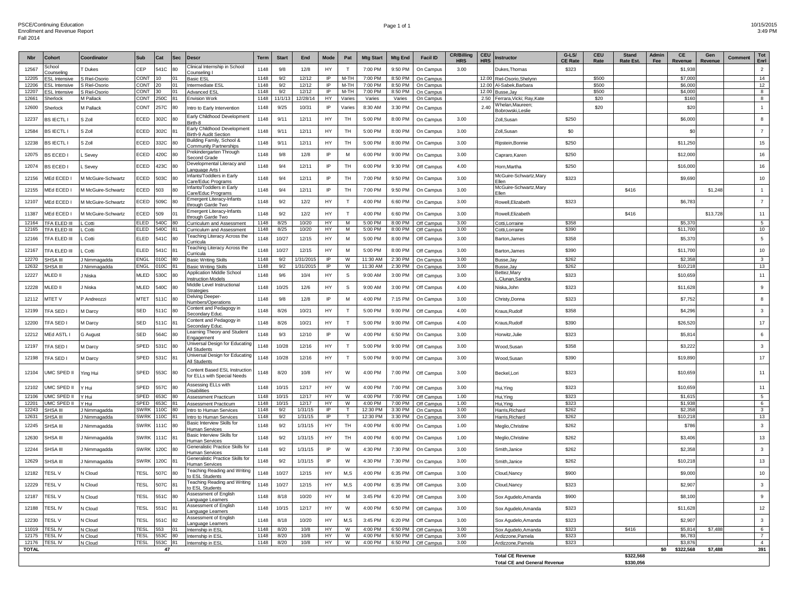#### Page 1 of 1 20015/2015 2015 2016 2017 2018 2019 2020 2020 2031 2020 2031 2032 2040 2020 2031 2032 2040 2020 20 3:49 PM

| <b>Nbr</b>     | Cohort                          | Coordinator                | Sub                        | Cat              | <b>Sec</b>     | <b>Descr</b>                                                  | Term         | <b>Start</b>   | End               | Mode               | Pat                          | <b>Mtg Start</b>     | <b>Mtg End</b>     | <b>Facil ID</b>          | <b>CR/Billing</b><br><b>HRS</b> | <b>CEU</b><br><b>HRS</b> | <b>Instructor</b>                                 | $G-LS/$<br><b>CE Rate</b> | <b>CEU</b><br>Rate | <b>Stand</b><br><b>Rate Est.</b> | Admin<br>Fee | CE<br>Revenue      | Gen<br><b>Revenue</b> | Comment | Tot<br>Enrl                      |
|----------------|---------------------------------|----------------------------|----------------------------|------------------|----------------|---------------------------------------------------------------|--------------|----------------|-------------------|--------------------|------------------------------|----------------------|--------------------|--------------------------|---------------------------------|--------------------------|---------------------------------------------------|---------------------------|--------------------|----------------------------------|--------------|--------------------|-----------------------|---------|----------------------------------|
| 12567          | School<br>ounselin              | Dukes                      | CEP                        | 541C             | 80             | Clinical Internship in School<br>ounseling I                  | 1148         | 9/8            | 12/8              | HY                 | T                            | 7:00 PM              | 9:50 PM            | On Campus                | 3.00                            |                          | Dukes.Thomas                                      | \$323                     |                    |                                  |              | \$1,938            |                       |         | $\overline{2}$                   |
| 12205          | <b>ESL</b> Intensive            | S Riel-Osorio              | CONT                       | 10               | 01             | <b>Basic ESL</b>                                              | 1148         | 9/2            | 12/12             | IP                 | M-TH                         | 7:00 PM              | 8:50 PM            | On Campus                |                                 |                          | 12.00 Riel-Osorio, Shelynn                        |                           | \$500              |                                  |              | \$7,000            |                       |         | 14                               |
| 12206          | <b>ESL</b> Intensive            | S Riel-Osorio              | CONT                       | 20               | 01             | Intermediate ESL                                              | 1148         | 9/2            | 12/12             | IP                 | $M-TH$                       | 7:00 PM              | 8:50 PM            | On Campus                |                                 |                          | 12.00 Al-Sabek, Barbara                           |                           | \$500              |                                  |              | \$6,000            |                       |         | 12                               |
| 12207<br>12661 | <b>ESL</b> Intensive            | S Riel-Osorio              | CONT 30                    |                  | 01             | Advanced ESI                                                  | 1148<br>1148 | 9/2<br>11/1/13 | 12/12<br>12/28/14 | IP<br>HY           | M-TH                         | 7:00 PM              | 8:50 PM            | On Campus                |                                 |                          | 12.00 Busse, Jay                                  |                           | \$500<br>\$20      |                                  |              | \$4,000<br>\$160   |                       |         | 8<br>8                           |
|                | Sherlock                        | M Pallack                  | CONT 250C 81               |                  |                | Envision Work                                                 |              |                |                   |                    | Varies                       | Varies               | Varies             | On Campus                |                                 |                          | 2.50 Ferrara, Vicki; Ray, Kate<br>Whelan.Maureen: |                           |                    |                                  |              |                    |                       |         |                                  |
| 12600          | Sherlock                        | M Pallack                  | CONT                       | 257C             | 80             | Intro to Early Intervention                                   | 1148         | 9/25           | 10/31             | IP                 | Varies                       | 8:30 AM              | 3:30 PM            | On Campus                |                                 | 2.40                     |                                                   |                           | \$20               |                                  |              | \$20               |                       |         | 1                                |
| 12237          | <b>BS IECTL I</b>               | S Zoll                     | ECED                       | 302C             | 80             | Early Childhood Development<br>3irth-8                        | 1148         | 9/11           | 12/11             | HY                 | TH                           | 5:00 PM              | 8:00 PM            | On Campus                | 3.00                            |                          | Zoll, Susan                                       | \$250                     |                    |                                  |              | \$6,000            |                       |         | 8                                |
| 12584          | <b>BS IECTL I</b>               | S Zoll                     | ECED                       | 302C             | 81             | Early Childhood Development<br><b>Birth-9 Audit Section</b>   | 1148         | 9/11           | 12/11             | HY                 | TH                           | 5:00 PM              | 8:00 PM            | On Campus                | 3.00                            |                          | Zoll, Susan                                       | \$0                       |                    |                                  |              | \$0                |                       |         | $\overline{7}$                   |
| 12238          | <b>BS IECTL I</b>               | S Zoll                     | ECED                       | 332C             | -80            | Building Family, School &<br>ommunity Partnerships            | 1148         | 9/11           | 12/11             | HY                 | TH                           | 5:00 PM              | 8:00 PM            | On Campus                | 3.00                            |                          | Ripstein, Bonnie                                  | \$250                     |                    |                                  |              | \$11,250           |                       |         | 15                               |
| 12075          | <b>BS ECED I</b>                | . Sevey                    | ECED                       | 420C             | 80             | Prekindergarten Through<br>Second Grade                       | 1148         | 9/8            | 12/8              | IP                 | M                            | 6:00 PM              | 9:00 PM            | On Campus                | 3.00                            |                          | Capraro, Karen                                    | \$250                     |                    |                                  |              | \$12,000           |                       |         | 16                               |
| 12074          | <b>BS ECED I</b>                | Sevev.                     | ECED                       | 423C             | 80             | Developmental Literacy and<br>anguage Arts I                  | 1148         | 9/4            | 12/11             | IP                 | TH.                          | 6:00 PM              | 9:30 PM            | Off Campus               | 4.00                            |                          | Horn.Martha                                       | \$250                     |                    |                                  |              | \$16,000           |                       |         | 16                               |
| 12156          | MEd ECED I                      | M McGuire-Schwartz         | ECED                       | 503C             | 80             | Infants/Toddlers in Early<br>Care/Educ Programs               | 1148         | 9/4            | 12/11             | IP                 | TH                           | 7:00 PM              | 9:50 PM            | On Campus                | 3.00                            |                          | McGuire-Schwartz, Mary                            | \$323                     |                    |                                  |              | \$9,690            |                       |         | 10                               |
| 12155          | MEd ECED I                      | M McGuire-Schwartz         | ECED                       | 503              | 80             | Infants/Toddlers in Early<br>are/Educ Programs                | 1148         | 9/4            | 12/11             | IP                 | TH                           | 7:00 PM              | 9:50 PM            | On Campus                | 3.00                            |                          | McGuire-Schwartz, Mary<br>-llen                   |                           |                    | \$416                            |              |                    | \$1,248               |         | $\langle \vert \vert \vert$      |
| 12107          | MEd ECED I                      | M McGuire-Schwartz         | ECED                       | 509C             | 80             | <b>Emergent Literacy-Infants</b><br>hrough Garde Two          | 1148         | 9/2            | 12/2              | HY                 | T                            | 4:00 PM              | 6:60 PM            | On Campus                | 3.00                            |                          | Rowell, Elizabeth                                 | \$323                     |                    |                                  |              | \$6,783            |                       |         | $\overline{7}$                   |
| 11387          | MEd ECED                        | M McGuire-Schwartz         | ECED                       | 509              | $\Omega$ 1     | Emergent Literacy-Infants<br>hrough Garde Two                 | 1148         | 9/2            | 12/2              | HY                 | T                            | 4:00 PM              | 6:60 PM            | On Campus                | 3.00                            |                          | Rowell, Elizabeth                                 |                           |                    | \$416                            |              |                    | \$13,728              |         | 11                               |
| 12164          | TFA ELED III                    | Cotti                      | <b>ELED</b>                | 540C 80          |                | Curriculum and Assessment                                     | 1148         | 8/25           | 10/20             | HY                 | M                            | 5:00 PM              | 8:00 PM            | Off Campus               | 3.00                            |                          | Cotti, Lorraine                                   | \$358                     |                    |                                  |              | \$5,370            |                       |         | 5                                |
| 12165          | TFA ELED III                    | . Cotti                    | ELED                       | 540C 81          |                | Curriculum and Assessment                                     | 1148         | 8/25           | 10/20             | HY                 | M                            | 5:00 PM              | 8:00 PM            | Off Campus               | 3.00                            |                          | Cotti.Lorraine                                    | \$390                     |                    |                                  |              | \$11,700           |                       |         | 10                               |
| 12166          | TFA ELED III                    | Cotti                      | ELED                       | 541C             | l 80           | <b>Feaching Literacy Across the</b><br>urricula               | 1148         | 10/27          | 12/15             | HY                 | M                            | 5:00 PM              | 8:00 PM            | Off Campus               | 3.00                            |                          | Barton, James                                     | \$358                     |                    |                                  |              | \$5,370            |                       |         | $5\phantom{.0}$                  |
| 12167          | TFA ELED III                    | Cotti                      | ELED                       | 541C             | 81             | <b>Feaching Literacy Across the</b><br>Curricula              | 1148         | 10/27          | 12/15             | HY                 | M                            | 5:00 PM              | 8:00 PM            | Off Campus               | 3.00                            |                          | Barton, James                                     | \$390                     |                    |                                  |              | \$11,700           |                       |         | 10                               |
| 12270          | SHSA III                        | Nimmagadda                 | ENGL                       | 010C 80          |                | <b>Basic Writing Skills</b>                                   | 1148         | 9/2            | /31/2015          | IP                 | W                            | 11:30 AM             | 2:30 PM            | On Campus                | 3.00                            |                          | Busse, Jav                                        | \$262                     |                    |                                  |              | \$2,358            |                       |         | $\mathbf{3}$                     |
| 12632          | SHSA III                        | Nimmagadda                 | <b>ENGL</b>                | 010C 81          |                | <b>Basic Writing Skills</b>                                   | 1148         | 9/2            | 1/31/2015         | IP                 | W                            | 11:30 AM             | 2:30 PM            | On Campus                | 3.00                            |                          | Busse, Jav                                        | \$262                     |                    |                                  |              | \$10.21            |                       |         | 13                               |
| 12227          | MLED II                         | I Niska                    | MLED                       | 530C             | 80             | <b>Noplication Middle School</b><br><b>Instruction Models</b> | 1148         | 9/6            | 10/4              | HY                 | $\mathbb S$                  | 9:00 AM              | 3:00 PM            | Off Campus               | 3.00                            |                          | Bettez, Mary<br>"Clunan, Sandra                   | \$323                     |                    |                                  |              | \$10,659           |                       |         | 11                               |
| 12228          | MLED II                         | J Niska                    | MLED                       | 540C             | 80             | Middle Level Instructional<br><b>Strategies</b>               | 1148         | 10/25          | 12/6              | HY                 | $\mathsf{s}$                 | 9:00 AM              | 3:00 PM            | Off Campus               | 4.00                            |                          | Niska.John                                        | \$323                     |                    |                                  |              | \$11,628           |                       |         | 9                                |
| 12112          | MTET V                          | P Andreozzi                | <b>MTET</b>                | 511C             | 80             | <b>Delving Deeper</b><br>Numbers/Operations                   | 1148         | 9/8            | 12/8              | IP                 | M                            | 4:00 PM              | 7:15 PM            | On Campus                | 3.00                            |                          | Christy, Donna                                    | \$323                     |                    |                                  |              | \$7,752            |                       |         | 8                                |
| 12199          | TFA SED I                       | M Darcy                    | SED                        | 511C             |                | Content and Pedagogy in<br>econdary Educ                      | 1148         | 8/26           | 10/21             | HY                 | T                            | 5:00 PM              | 9:00 PM            | Off Campus               | 4.00                            |                          | <b>Kraus, Rudolf</b>                              | \$358                     |                    |                                  |              | \$4,296            |                       |         | $\mathbf{3}$                     |
| 12200          | TFA SED I                       | M Darcy                    | SED                        | 511C             | 81             | Content and Pedagogy in<br>econdary Educ                      | 1148         | 8/26           | 10/21             | HY                 | $\top$                       | 5:00 PM              | 9:00 PM            | Off Campus               | 4.00                            |                          | Kraus, Rudolf                                     | \$390                     |                    |                                  |              | \$26,520           |                       |         | 17                               |
| 12212          | MEd ASTL I                      | G August                   | SED                        | 564C             | 80             | earning Theory and Student<br>Engagement                      | 1148         | 9/3            | 12/10             | IP                 | W                            | 4:00 PM              | 6:50 PM            | On Campus                | 3.00                            |                          | Horwitz, Julie                                    | \$323                     |                    |                                  |              | \$5,81             |                       |         | 6                                |
| 12197          | TFA SED I                       | M Darcy                    | SPED                       | 531C             | -80            | Universal Design for Educatin<br>Il Students                  | 1148         | 10/28          | 12/16             | HY                 | T                            | 5:00 PM              | 9:00 PM            | Off Campus               | 3.00                            |                          | Wood,Susan                                        | \$358                     |                    |                                  |              | \$3,222            |                       |         | $\mathbf{3}$                     |
| 12198          | TFA SED I                       | M Darcy                    | SPED                       | 531C             | 81             | Universal Design for Educating<br>All Students                | 1148         | 10/28          | 12/16             | HY                 | T                            | 5:00 PM              | 9:00 PM            | Off Campus               | 3.00                            |                          | Wood,Susan                                        | \$390                     |                    |                                  |              | \$19,890           |                       |         | 17                               |
| 12104          | UMC SPED II                     | Ying Hui                   | SPED                       | 553C             | <b>RO</b>      | Content Based ESL Instruction<br>for ELLs with Special Needs  | 1148         | 8/20           | 10/8              | HY                 | W                            | 4:00 PM              | 7:00 PM            | Off Campus               | 3.00                            |                          | Beckel, Lori                                      | \$323                     |                    |                                  |              | \$10,659           |                       |         | 11                               |
| 12102          | UMC SPED II                     | ' Hui                      | SPED                       | 557C             | -80            | Assessing ELLs with<br><b>Disabilities</b>                    | 1148         | 10/15          | 12/17             | HY                 | ${\mathsf W}$                | 4:00 PM              | 7:00 PM            | Off Campus               | 3.00                            |                          | Hui, Ying                                         | \$323                     |                    |                                  |              | \$10,659           |                       |         | 11                               |
| 12106          | UMC SPED II                     | Y Hui                      | SPED                       | 653C 80          |                | Assessment Practicum                                          | 1148         | 10/15          | 12/17             | HY                 | W                            | 4:00 PM              | 7:00 PM            | Off Campus               | 1.00                            |                          | Hui, Ying                                         | \$323                     |                    |                                  |              | \$1,615            |                       |         | $5\overline{)}$                  |
| 12201          | <b>UMC SPED II</b>              | / Hui                      | SPED<br><b>SWRK</b>        | 653C 81          |                | <b>Assessment Practicum</b>                                   | 1148<br>1148 | 10/15          | 12/17<br>1/31/15  | HY<br>$\mathsf{P}$ | W<br>$\overline{\mathsf{T}}$ | 4:00 PM              | 7:00 PM            | Off Campus               | 1.00<br>3.00                    |                          | Hui. Ying                                         | \$323<br>\$262            |                    |                                  |              | \$1,938<br>\$2,358 |                       |         | 6                                |
| 12243<br>12631 | <b>SHSA II</b><br>SHSA III      | Nimmagadda<br>I Nimmanadda | <b>SWRK</b>                | 10C 80<br>10C 81 |                | Intro to Human Services<br>Intro to Human Services            | 1148         | 9/2<br>9/2     | 1/31/15           | $\overline{P}$     | $\overline{\mathsf{r}}$      | 12:30 PM<br>12:30 PM | 3:30 PM<br>3:30 PM | On Campus<br>On Campus   | 3.00                            |                          | Harris.Richard<br>Harris Richard                  | \$262                     |                    |                                  |              | \$10,218           |                       |         | 3 <sup>3</sup><br>13             |
| 12245          | SHSA III                        | J Nimmagadda               | <b>SWRK</b>                | 11C              | <b>RO</b>      | Basic Interview Skills for                                    | 1148         | 9/2            | 1/31/15           | HY                 | TH                           | 4:00 PM              | 6:00 PM            | On Campus                | 1.00                            |                          | Meglio, Christine                                 | \$262                     |                    |                                  |              | \$786              |                       |         | $\overline{\mathbf{3}}$          |
| 12630          | SHSA III                        | J Nimmagadda               | <b>SWRK</b>                | 111C             | R <sub>1</sub> | Human Services<br>Basic Interview Skills for                  | 1148         | 9/2            | 1/31/15           | HY                 | TH                           | 4:00 PM              | 6:00 PM            | On Campus                | 1.00                            |                          | Meglio, Christine                                 | \$262                     |                    |                                  |              | \$3,406            |                       |         | 13                               |
| 12244          | SHSA III                        | J Nimmagadda               | <b>SWRK</b>                | 120C             | <b>RO</b>      | Human Services<br>Generalistic Practice Skills for            | 1148         | 9/2            | 1/31/15           | IP                 | ${\mathsf W}$                | 4:30 PM              | 7:30 PM            | On Campus                | 3.00                            |                          | Smith, Janice                                     | \$262                     |                    |                                  |              | \$2,358            |                       |         | $\mathbf{3}$                     |
| 12629          | SHSA III                        | Kimmagadda                 | <b>SWRK</b>                | 120C             | 81             | Human Services<br>Generalistic Practice Skills for            | 1148         | 9/2            | 1/31/15           | IP                 | ${\mathsf W}$                | 4:30 PM              | 7:30 PM            | On Campus                | 3.00                            |                          | Smith, Janice                                     | \$262                     |                    |                                  |              | \$10,218           |                       |         | 13                               |
| 12182          | <b>TESLV</b>                    | V Cloud                    | TESL                       | 507C             | 80             | Human Services<br>Feaching Reading and Writing                | 1148         | 10/27          | 12/15             | HY                 | M,S                          | 4:00 PM              | 6:35 PM            | Off Campus               | 3.00                            |                          | Cloud.Nancv                                       | \$900                     |                    |                                  |              | \$9,000            |                       |         | 10                               |
| 12229          | <b>TESLV</b>                    | N Cloud                    | <b>TESL</b>                | 507C             | 81             | <b>ESL Students</b><br><b>Feaching Reading and Writing</b>    | 1148         | 10/27          | 12/15             | HY                 | M,S                          | 4:00 PM              | 6:35 PM            | Off Campus               | 3.00                            |                          | Cloud, Nancy                                      | \$323                     |                    |                                  |              | \$2,907            |                       |         | $\mathbf{3}$                     |
| 12187          | <b>TESLV</b>                    | N Cloud                    | <b>TESL</b>                | 551C             | <b>RO</b>      | <b>DESL Students</b><br>Assessment of English                 | 1148         | 8/18           | 10/20             | HY                 | M                            | 3:45 PM              | 6:20 PM            | Off Campus               | 3.00                            |                          | Sox Agudelo, Amanda                               | \$900                     |                    |                                  |              | \$8,100            |                       |         | $\boldsymbol{9}$                 |
| 12188          | <b>TESLIV</b>                   | N Cloud                    | <b>TESL</b>                | 551C             | 81             | anguage Learners<br>Assessment of English                     | 1148         | 10/15          | 12/17             | HY                 | W                            | 4:00 PM              | 6:50 PM            | Off Campus               | 3.00                            |                          | Sox Agudelo, Amanda                               | \$323                     |                    |                                  |              | \$11,628           |                       |         | 12                               |
| 12230          | <b>TESLV</b>                    | <b>V</b> Cloud             | <b>TESL</b>                | 551C             | 82             | anguage Learners<br>Assessment of English                     | 1148         | 8/18           | 10/20             | <b>HY</b>          | M,S                          | 3:45 PM              | 6:20 PM            |                          | 3.00                            |                          |                                                   | \$323                     |                    |                                  |              | \$2,907            |                       |         | $\mathbf{3}$                     |
|                |                                 |                            |                            |                  |                | Language Learners                                             |              |                |                   |                    |                              |                      |                    | Off Campus               |                                 |                          | Sox Agudelo,Amanda                                |                           |                    |                                  |              |                    |                       |         |                                  |
| 11019<br>12175 | <b>TESLIV</b><br><b>TESL IV</b> | V Cloud                    | <b>TESL</b><br><b>TESL</b> | 553 01<br>553C   |                | Internship in ESI                                             | 1148<br>1148 | 8/20<br>8/20   | 10/8<br>10/8      | HY.<br>HY          | W<br>W                       | 4:00 PM<br>4:00 PM   | 6:50 PM<br>6:50 PM | Off Campus               | 3.00<br>3.00                    |                          | Sox Agudelo, Amanda                               | \$323<br>\$323            |                    | \$416                            |              | \$5,814<br>\$6,783 | \$7,488               |         | 6                                |
| 12176          | <b>TESL IV</b>                  | <b>J</b> Cloud<br>N Cloud  | <b>TESL</b>                |                  | 80             | Internship in ESL<br>553C 81 Internship in ESL                | 1148         | 8/20           | 10/8              | <b>HY</b>          | W                            | 4:00 PM              | 6:50 PM            | Off Campus<br>Off Campus | 3.00                            |                          | Ardizzone, Pamela<br>Ardizzone, Pamela            | \$323                     |                    |                                  |              | \$3.876            |                       |         | $\overline{7}$<br>$\overline{4}$ |
| <b>TOTAL</b>   |                                 |                            |                            | 47               |                |                                                               |              |                |                   |                    |                              |                      |                    |                          |                                 |                          |                                                   |                           |                    |                                  | \$0          | \$322,568          | \$7,488               |         | 391                              |
|                |                                 |                            |                            |                  |                |                                                               |              |                |                   |                    |                              |                      |                    |                          |                                 |                          | <b>Total CE Revenue</b>                           |                           |                    | \$322,568                        |              |                    |                       |         |                                  |
|                |                                 |                            |                            |                  |                |                                                               |              |                |                   |                    |                              |                      |                    |                          |                                 |                          | <b>Total CE and General Revenue</b>               |                           |                    | \$330,056                        |              |                    |                       |         |                                  |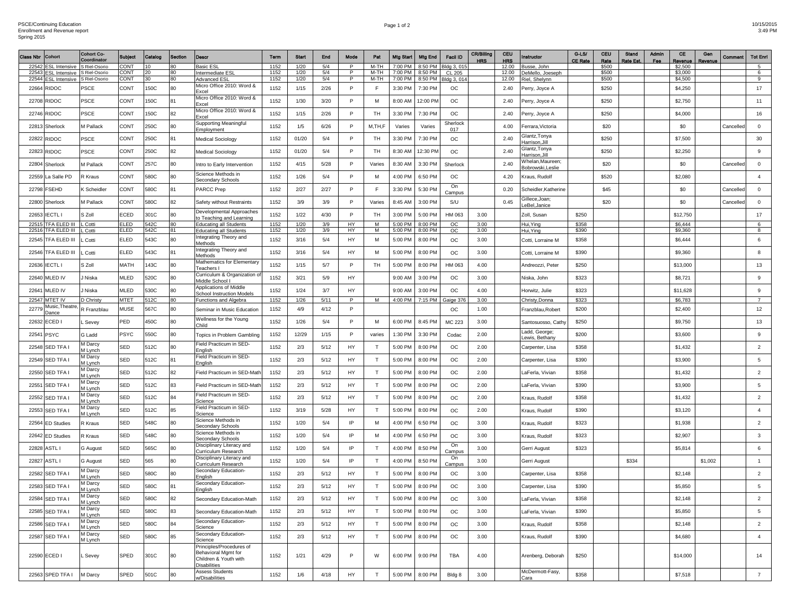| Page 1 of 2 | 10/15/2015 |
|-------------|------------|
|             | 2.40 B1    |

3:49 PM

| Class Nbr      | <b>Cohort</b>                         | <b>Cohort Co-</b><br>Coordinator | <b>Subject</b>      | Catalog      | Section  | <b>Descr</b>                                                                                    | Term         | <b>Start</b> | End          | Mode    | Pat                  | Mtg Start          | <b>Mtg End</b>      | <b>Facil ID</b>   | <b>CR/Billing</b><br><b>HRS</b> | <b>CEU</b><br>HRS | nstructor                                       | $G-LS/$<br><b>CE Rate</b> | <b>CEU</b><br>Rato | Stand<br>Rate Est. | <b>Admin</b><br>Fee | CE<br>Revenue       | Gen<br>Revenu | Commen    | <b>Tot Enri</b> |
|----------------|---------------------------------------|----------------------------------|---------------------|--------------|----------|-------------------------------------------------------------------------------------------------|--------------|--------------|--------------|---------|----------------------|--------------------|---------------------|-------------------|---------------------------------|-------------------|-------------------------------------------------|---------------------------|--------------------|--------------------|---------------------|---------------------|---------------|-----------|-----------------|
| 22542          | <b>ESL Intensive</b>                  | S Riel-Osorio                    | CONT                | $10^{\circ}$ | 80.      | Basic ESI                                                                                       | 1152         | 1/20         | 5/4          | P.      | $M-TH$               | 7:00 PM            | 8:50 PM             | Bldg 3, 015       |                                 | 12.00             | Busse, John                                     |                           | \$500              |                    |                     | \$2,500             |               |           | $5\overline{5}$ |
| 22543<br>22544 | ESL Intensive<br><b>ESL Intensive</b> | S Riel-Osorio                    | <b>CONT</b>         | 20<br>30     | 80<br>80 | Intermediate ESL                                                                                | 1152<br>1152 | 1/20<br>1/20 | 5/4<br>5/4   | P.<br>P | M-TH<br>M-TH         | 7:00 PM<br>7:00 PM | 8:50 PM<br>8:50 PM  | CL 205            |                                 | 12.00<br>12.00    | DeMello, Joeseph                                |                           | \$500              |                    |                     | \$3,000<br>\$4,500  |               |           | 6<br>9          |
|                |                                       | S Riel-Osorio                    | <b>CONT</b>         |              |          | <b>Advanced ESL</b><br>Micro Office 2010: Word &                                                |              |              |              | P       | E                    |                    |                     | Bldg 3, 014       |                                 |                   | Riel, Shelynn                                   |                           | \$500              |                    |                     |                     |               |           |                 |
| 22664<br>22708 | RIDOC<br><b>RIDOC</b>                 | PSCE<br>PSCE                     | <b>CONT</b><br>CONT | 150C<br>150C | 80<br>81 | Excel<br>Micro Office 2010: Word &                                                              | 1152<br>1152 | 1/15<br>1/30 | 2/26<br>3/20 | P       | M                    | 3:30 PM<br>8:00 AM | 7:30 PM<br>12:00 PM | ОC<br>$_{\rm OC}$ |                                 | 2.40<br>2.40      | Perry, Joyce A<br>Perry, Joyce A                |                           | \$250<br>\$250     |                    |                     | \$4,250<br>\$2,750  |               |           | 17<br>11        |
| 22746          | RIDOC                                 | PSCE                             | CONT                | 150C         | 82       | Exce<br>Micro Office 2010: Word &                                                               | 1152         | 1/15         | 2/26         | P       | TH                   | 3:30 PM            | 7:30 PM             | $_{\rm OC}$       |                                 | 2.40              | Perry, Joyce A                                  |                           | \$250              |                    |                     | \$4,000             |               |           | 16              |
| 22813          | Sherlock                              | M Pallack                        | CONT                | 250C         | 80       | Excel<br><b>Supporting Meaningful</b>                                                           | 1152         | 1/5          | 6/26         | P       | M, TH, F             | Varies             | Varies              | Sherlock          |                                 | 4.00              | Ferrara, Victoria                               |                           | \$20               |                    |                     | \$0                 |               | Cancelled | $\mathbf 0$     |
| 22822          | RIDOC                                 | PSCE                             | CONT                | 250C         | 81       | Employment<br>Medical Sociology                                                                 | 1152         | 01/20        | 5/4          | P       | TH                   | 3:30 PM            | 7:30 PM             | 017<br>ОC         |                                 | 2.40              | <b>Glantz, Tonya</b>                            |                           | \$250              |                    |                     | \$7,500             |               |           | 30              |
| 22823          | RIDOC                                 | PSCE                             | CONT                | 250C         | 82       | <b>Medical Sociology</b>                                                                        | 1152         | 01/20        | 5/4          | P.      | TH                   | 8:30 AM            | 12:30 PM            | $_{\rm OC}$       |                                 | 2.40              | -larrison,Jill<br>3lantz,Tonya<br>Harrison,Jill |                           | \$250              |                    |                     | \$2,250             |               |           | 9               |
| 22804          | Sherlock                              | M Pallack                        | <b>CONT</b>         | 257C         | 80       | Intro to Early Intervention                                                                     | 1152         | 4/15         | 5/28         | P       | Varies               | 8:30 AM            | 3:30 PM             | Sherlock          |                                 | 2.40              | /helan,Maureen;<br>3obrowski, Leslie            |                           | \$20               |                    |                     | \$0                 |               | Cancelled | $\mathbf 0$     |
| 22559          | La Salle PD                           | रे Kraus                         | CONT                | 580C         | 80       | Science Methods in<br>Secondary Schools                                                         | 1152         | 1/26         | 5/4          | P       | м                    | 4:00 PM            | 6:50 PM             | ОC                |                                 | 4.20              | <b>Craus, Rudolf</b>                            |                           | \$520              |                    |                     | \$2,080             |               |           | $\overline{4}$  |
| 22798          | FSEHD                                 | Scheidler                        | CONT                | 580C         | 81       | PARCC Prep                                                                                      | 1152         | 2/27         | 2/27         | P       | E                    | 3:30 PM            | 5:30 PM             | On<br>Campus      |                                 | 0.20              | Scheidler, Katherine                            |                           | \$45               |                    |                     | \$0                 |               | Cancelled | $\mathbf 0$     |
| 22800          | Sherlock                              | M Pallack                        | CONT                | 580C         | 82       | Safety without Restraints                                                                       | 1152         | 3/9          | 3/9          | P       | Varies               | 8:45 AM            | 3:00 PM             | S/U               |                                 | 0.45              | Gillece,Joan<br>eBel,Janice                     |                           | \$20               |                    |                     | \$0                 |               | Cancelleo | $\mathbf 0$     |
| 22653          | <b>IECTL I</b>                        | S Zoll                           | ECED                | 301C         | 80       | Developmental Approaches<br>to Teaching and Learning                                            | 1152         | 1/22         | 4/30         | P       | TH                   | 3:00 PM            | 5:00 PM             | HM 063            | 3.00                            |                   | Zoll, Susan                                     | \$250                     |                    |                    |                     | \$12,750            |               |           | 17              |
| 2251           | <b><i>TFA ELED III</i></b>            | Cotti                            | <b>ELED</b>         | 542C         | 80       | <b>Educating all Students</b>                                                                   | 1152         | 1/20         | 3/9          | HY.     | M                    | 5:00 PM            | 8:00 PM             | <b>OC</b>         | 3.00                            |                   | Hui, Ying                                       | \$358                     |                    |                    |                     | \$6,444             |               |           | 6               |
| 22516          | IFA ELED III                          | Cotti                            | ELED                | 542C         | 81       | <b>Educating all Students</b><br>Integrating Theory and                                         | 1152         | 1/20         | 3/9          | HY      | M                    | 5:00 PM            | 8:00 PM             | ОC                | 3.00                            |                   | Hui, Ying                                       | \$390                     |                    |                    |                     | \$9,360             |               |           | 8               |
| 22545          | IFA ELED III                          | . Cotti                          | ELED                | 543C         | 80       | Methods<br>Integrating Theory and                                                               | 1152         | 3/16         | 5/4          | HY      | м                    | 5:00 PM            | 8:00 PM             | ОC                | 3.00                            |                   | Cotti, Lorraine M                               | \$358                     |                    |                    |                     | \$6,444             |               |           | 6               |
| 22546          | TFA ELED III                          | . Cotti                          | ELED                | 543C         | 81       | Methods<br>Mathematics for Elementary                                                           | 1152         | 3/16         | 5/4          | HY      | M                    | 5:00 PM            | 8:00 PM             | ОC                | 3.00                            |                   | Cotti, Lorraine M                               | \$390                     |                    |                    |                     | \$9,360             |               |           | 8               |
| 22636          | IECTL I<br>MLED IV                    | s Zoll                           | MATH                | 143C         | 80<br>80 | Teachers I<br>Curriculum & Organization o                                                       | 1152         | 1/15<br>3/21 | 5/7<br>5/9   | P<br>HY | TH                   | 5:00 PM<br>9:00 AM | 8:00 PM<br>3:00 PM  | HM 063<br>ОC      | 4.00<br>3.00                    |                   | Andreozzi, Peter                                | \$250<br>\$323            |                    |                    |                     | \$13,000            |               |           | 13<br>9         |
| 22640<br>22641 | MLED IV                               | Niska<br>Niska                   | MLED<br>MLED        | 520C<br>530C | 80       | Middle School I<br>Applications of Middle                                                       | 1152<br>1152 | 1/24         | 3/7          | HY      |                      | 9:00 AM            | 3:00 PM             | $_{\rm OC}$       | 4.00                            |                   | Viska, John                                     | \$323                     |                    |                    |                     | \$8,721<br>\$11,628 |               |           | 9               |
|                |                                       |                                  |                     |              |          | <b>School Instruction Models</b>                                                                |              |              |              |         |                      |                    |                     |                   |                                 |                   | Horwitz, Julie                                  |                           |                    |                    |                     |                     |               |           |                 |
| 22547          | MTET IV<br>Music,Theatre              | D Christy                        | <b>MTET</b>         | 512C         | 80       | Functions and Algebra                                                                           | 1152         | 1/26         | 5/11         | P.      | M                    | 4:00 PM            | 7:15 PM             | Gaige 376         | 3.00                            |                   | Christy,Donna                                   | \$323                     |                    |                    |                     | \$6,783             |               |           | $\overline{7}$  |
| 2277           | Jance                                 | R Franzblau                      | <b>MUSE</b>         | 567C         | 80       | Seminar in Music Education                                                                      | 1152         | 4/9          | 4/12         | P       |                      |                    |                     | ОC                | 1.00                            |                   | Franzblau, Robert                               | \$200                     |                    |                    |                     | \$2,400             |               |           | 12              |
| 2263           | ECED I                                | . Sevey                          | PED                 | 450C         | 80       | Wellness for the Young<br>Child                                                                 | 1152         | 1/26         | 5/4          | P       | M                    | 6:00 PM            | 8:45 PM             | MC 223            | 3.00                            |                   | Santosuosso, Cath<br>.add, George;              | \$250                     |                    |                    |                     | \$9,750             |               |           | 13              |
| 2254           | PSYC                                  | G Ladd                           | PSYC                | 550C         | 80       | Topics in Problem Gambling                                                                      | 1152         | 12/29        | 1/15         | P       | varies               | 1:30 PM            | 3:30 PM             | Codac             | 2.00                            |                   | ewis, Bethany                                   | \$200                     |                    |                    |                     | \$3,600             |               |           | 9               |
| 22548          | SED TFA I                             | M Darcy<br>M Lynch<br>M Darcy    | SED                 | 512C         | 80       | Field Practicum in SED-<br>English<br>Field Practicum in SED                                    | 1152         | 2/3          | 5/12         | HY      | T                    | 5:00 PM            | 8:00 PM             | ОC                | 2.00                            |                   | Carpenter, Lisa                                 | \$358                     |                    |                    |                     | \$1,432             |               |           | $\overline{2}$  |
| 22549          | SED TFA                               | M Lynch<br>M Darcy               | SED                 | 512C         | 81       | English                                                                                         | 1152         | 2/3          | 5/12         | HY      | T                    | 5:00 PM            | 8:00 PM             | $_{\rm OC}$       | 2.00                            |                   | Carpenter, Lisa                                 | \$390                     |                    |                    |                     | \$3,900             |               |           | $\,$ 5 $\,$     |
| 22550          | SED TFA                               | M Lynch<br>M Darcy               | <b>SED</b>          | 512C         | 82       | Field Practicum in SED-Mat                                                                      | 1152         | 2/3          | 5/12         | HY      | -т                   | 5:00 PM            | 8:00 PM             | ОC                | 2.00                            |                   | .aFerla, Vivian                                 | \$358                     |                    |                    |                     | \$1,432             |               |           | $\overline{2}$  |
| 22551          | SED TFA I                             | M Lynch<br>M Darcy               | SED                 | 512C         | 83       | Field Practicum in SED-Matl<br>Field Practicum in SED                                           | 1152         | 2/3          | 5/12         | HY      | T                    | 5:00 PM            | 8:00 PM             | <b>OC</b>         | 2.00                            |                   | _aFerla, Vivian                                 | \$390                     |                    |                    |                     | \$3,900             |               |           | 5               |
| 22552          | SED TFA I                             | M Lynch<br>M Darcy               | <b>SED</b>          | 512C         | 84       | Science<br>Field Practicum in SED                                                               | 1152         | 2/3          | 5/12         | HY      | -т                   | 5:00 PM            | 8:00 PM             | ОC                | 2.00                            |                   | Kraus, Rudolf                                   | \$358                     |                    |                    |                     | \$1,432             |               |           | $\overline{2}$  |
| 22553          | SED TFA I                             | M Lynch                          | SED                 | 512C         | 85       | Science<br>Science Methods in                                                                   | 1152         | 3/19         | 5/28         | HY      | T                    | 5:00 PM            | 8:00 PM             | ОC                | 2.00                            |                   | Kraus, Rudolf                                   | \$390                     |                    |                    |                     | \$3,120             |               |           |                 |
| 22564          | ED Studies                            | रे Kraus                         | <b>SED</b>          | 548C         | 80       | Secondary Schools<br>Science Methods in                                                         | 1152         | 1/20         | 5/4          | IP      | M                    | 4:00 PM            | 6:50 PM             | ОC                | 3.00                            |                   | <b>Kraus, Rudolf</b>                            | \$323                     |                    |                    |                     | \$1,938             |               |           | $\overline{2}$  |
| 22642          | <b>ED Studies</b>                     | रे Kraus                         | <b>SED</b>          | 548C         | 80       | Secondary Schools<br>Disciplinary Literacy and                                                  | 1152         | 1/20         | 5/4          | IP      | M                    | 4:00 PM            | 6:50 PM             | ОC<br>On          | 3.00                            |                   | Kraus, Rudolf                                   | \$323                     |                    |                    |                     | \$2,907             |               |           | 3               |
| 22828          | ASTL I                                | G August                         | SED                 | 565C         | 80       | Curriculum Research<br>Disciplinary Literacy and                                                | 1152         | 1/20         | 5/4          | IP      | T                    | 4:00 PM            | 8:50 PM             | Campus<br>On      | 3.00                            |                   | Gerri August                                    | \$323                     |                    |                    |                     | \$5,814             |               |           | 6               |
| 22827          | ASTL I                                | G August<br>M Darcy              | SED                 | 565          | 80       | Curriculum Research<br>Secondary Education-                                                     | 1152         | 1/20         | 5/4          | IP      | T                    | 4:00 PM            | 8:50 PM             | Campus            | 3.00                            |                   | Gerri August                                    |                           |                    | \$334              |                     |                     | \$1,002       |           | $\mathbf{1}$    |
| 22582          | SED TFA I                             | M Lynch<br>M Darcy               | SED                 | 580C         | 80       | English<br>Secondary Education-                                                                 | 1152         | 2/3          | 5/12         | HY      | T                    | 5:00 PM            | 8:00 PM             | ОC                | 3.00                            |                   | Carpenter, Lisa                                 | \$358                     |                    |                    |                     | \$2,148             |               |           | $\overline{2}$  |
| 22583          | SED TFA I                             | M Lynch<br>M Darcy               | SED                 | 580C         | 81       | English                                                                                         | 1152         | 2/3          | 5/12         | HY      | T<br>$\mathbf{\tau}$ | 5:00 PM            | 8:00 PM             | ОC                | 3.00                            |                   | Carpenter, Lisa                                 | \$390                     |                    |                    |                     | \$5,850             |               |           | 5               |
| 22584          | SED TFA I                             | M Lynch<br>M Darcy               | SED                 | 580C         | 82       | Secondary Education-Math                                                                        | 1152         | 2/3          | 5/12         | HY.     |                      | 5:00 PM            | 8:00 PM             | OC                | 3.00                            |                   | .aFerla, Vivian                                 | \$358                     |                    |                    |                     | \$2,148             |               |           | $\mathbf{z}$    |
| 22585          | SED TFA I                             | M Lynch<br>M Darcy               | <b>SED</b>          | 580C         | 83       | Secondary Education-Math<br>Secondary Education-                                                | 1152         | 2/3          | 5/12         | HY      | T                    | 5:00 PM            | 8:00 PM             | $_{\rm OC}$       | 3.00                            |                   | LaFerla, Vivian                                 | \$390                     |                    |                    |                     | \$5,850             |               |           | $5\overline{5}$ |
|                | 22586 SED TFA I                       | M Lynch<br>M Darcy               | <b>SED</b>          | 580C         | 84       | Science<br>Secondary Education-                                                                 | 1152         | 2/3          | 5/12         | HY      | T                    | 5:00 PM            | 8:00 PM             | $_{\rm OC}$       | 3.00                            |                   | Kraus, Rudolf                                   | \$358                     |                    |                    |                     | \$2,148             |               |           | $\overline{2}$  |
|                | 22587 SED TFA I                       | M Lynch                          | <b>SED</b>          | 580C         | 85       | Science                                                                                         | 1152         | 2/3          | 5/12         | HY      | T                    | 5:00 PM            | 8:00 PM             | <b>OC</b>         | 3.00                            |                   | Kraus, Rudolf                                   | \$390                     |                    |                    |                     | \$4,680             |               |           | $\overline{4}$  |
|                | 22590 ECED I                          | Sevey                            | SPED                | 301C         | 80       | Principles/Procedures of<br>Behavioral Mgmt for<br>Children & Youth with<br><b>Disabilities</b> | 1152         | 1/21         | 4/29         | P       | W                    | 6:00 PM            | 9:00 PM             | TBA               | 4.00                            |                   | Arenberg, Deborah                               | \$250                     |                    |                    |                     | \$14,000            |               |           | 14              |
|                | 22563 SPED TFA I                      | M Darcy                          | SPED                | 501C         | 80       | <b>Assess Students</b><br>w/Disabilities                                                        | 1152         | 1/6          | 4/18         | HY      | T                    | 5:00 PM            | 8:00 PM             | Bldg 8            | 3.00                            |                   | McDermott-Fasy,<br>Cara                         | \$358                     |                    |                    |                     | \$7,518             |               |           | $7^{\circ}$     |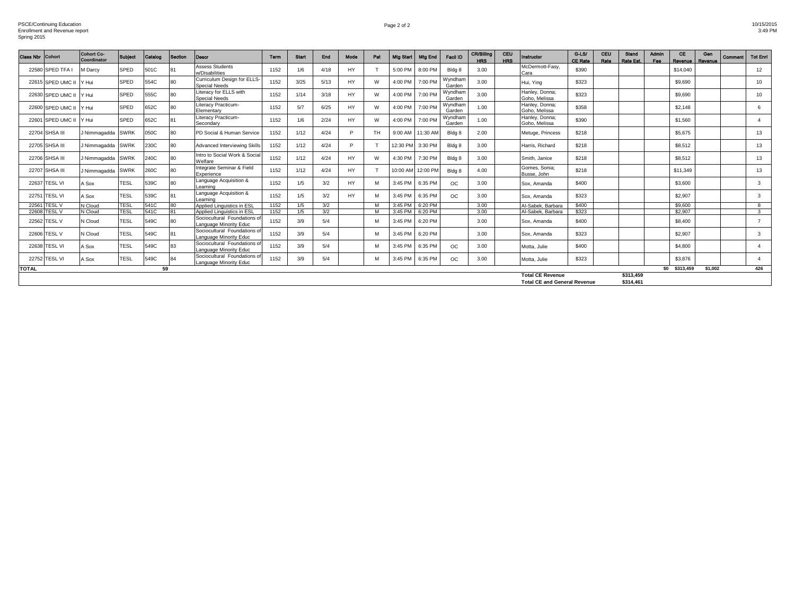Page 2 of 2 10/15/2015 3:49 PM

| <b>Class Nbr</b> | <b>Cohort</b>     | <b>Cohort Co-</b><br>Coordinator | <b>Subject</b> | Catalog | <b>Section</b> | Descr                                                  | Term | <b>Start</b> | End  | Mode      | Pat       | <b>Mtg Start</b> | <b>Mtg End</b> | <b>Facil ID</b>   | CR/Billing<br><b>HRS</b> | CEU<br><b>HRS</b> | Instructor                                                     | $G-LS/$<br><b>CE Rate</b> | CEU<br>Rate | Stand<br>Rate Est.     | Admin<br>Fee | CE<br>Revenue | Gen<br>Revenue | Comment | <b>Tot Enri</b> |
|------------------|-------------------|----------------------------------|----------------|---------|----------------|--------------------------------------------------------|------|--------------|------|-----------|-----------|------------------|----------------|-------------------|--------------------------|-------------------|----------------------------------------------------------------|---------------------------|-------------|------------------------|--------------|---------------|----------------|---------|-----------------|
|                  | 22580 SPED TFA    | M Darcy                          | <b>SPED</b>    | 501C    | 81             | <b>Assess Students</b><br>w/Disabilities               | 1152 | 1/6          | 4/18 | <b>HY</b> |           | 5:00 PM          | 8:00 PM        | Bldg 8            | 3.00                     |                   | McDermott-Fasv.<br>Cara                                        | \$390                     |             |                        |              | \$14,040      |                |         | 12              |
|                  | 22615 SPED UMC II | Y Hui                            | <b>SPED</b>    | 554C    | 80             | Curriculum Design for ELLS<br><b>Special Needs</b>     | 1152 | 3/25         | 5/13 | <b>HY</b> | <b>M</b>  | 4:00 PM          | 7:00 PM        | Wyndham<br>Garden | 3.00                     |                   | Hui, Yina                                                      | \$323                     |             |                        |              | \$9,690       |                |         | 10              |
|                  | 22630 SPED UMC II | Y Hui                            | <b>SPED</b>    | 555C    | 80             | Literacy for ELLS with<br>Special Needs                | 1152 | 1/14         | 3/18 | <b>HY</b> |           | 4:00 PM          | 7:00 PM        | Wyndham<br>Garden | 3.00                     |                   | Hanley, Donna:<br>Goho, Melissa                                | \$323                     |             |                        |              | \$9,690       |                |         | 10              |
|                  | 22600 SPED UMC II | Y Hui                            | <b>SPED</b>    | 652C    | 80             | Literacy Practicum-<br>Elementary                      | 1152 | 5/7          | 6/25 | <b>HY</b> |           | 4:00 PM          | 7:00 PM        | Wyndham<br>Garden | 1.00                     |                   | Hanley, Donna;<br>Goho, Melissa                                | \$358                     |             |                        |              | \$2,148       |                |         | 6               |
|                  | 22601 SPED UMC II | Y Hui                            | <b>SPED</b>    | 652C    | 81             | Literacy Practicum-<br>Secondary                       | 1152 | 1/6          | 2/24 | <b>HY</b> | <b>M</b>  | 4:00 PM          | 7:00 PM        | Wyndham<br>Garden | 1.00                     |                   | Hanley, Donna;<br>Goho, Melissa                                | \$390                     |             |                        |              | \$1,560       |                |         |                 |
|                  | 22704 SHSA III    | J Nimmagadda                     | <b>SWRK</b>    | 050C    | 80             | PD Social & Human Service                              | 1152 | 1/12         | 4/24 | P.        | <b>TH</b> | 9:00 AM          | 11:30 AM       | Bldg 8            | 2.00                     |                   | Metuge, Princess                                               | \$218                     |             |                        |              | \$5,675       |                |         | 13              |
|                  | 22705 SHSA III    | J Nimmagadda SWRK                |                | 230C    | 80             | Advanced Interviewing Skills                           | 1152 | 1/12         | 4/24 | P         |           | 12:30 PM         | 3:30 PM        | Bldg 8            | 3.00                     |                   | Harris, Richard                                                | \$218                     |             |                        |              | \$8,512       |                |         | 13              |
|                  | 22706 SHSA III    | J Nimmagadda                     | <b>SWRK</b>    | 240C    | 80             | Intro to Social Work & Social<br>Welfare               | 1152 | 1/12         | 4/24 | <b>HY</b> | <b>M</b>  | 4:30 PM          | 7:30 PM        | Bldg 8            | 3.00                     |                   | Smith, Janice                                                  | \$218                     |             |                        |              | \$8,512       |                |         | 13              |
|                  | 22707 SHSA III    | J Nimmagadda                     | <b>SWRK</b>    | 260C    | 80             | Integrate Seminar & Field<br>Experience                | 1152 | 1/12         | 4/24 | <b>HY</b> |           | 10:00 AM         | 12:00 PM       | Bldg 8            | 4.00                     |                   | Gomes, Sonia:<br>Busse, John                                   | \$218                     |             |                        |              | \$11.349      |                |         | 13              |
|                  | 22637 TESL VI     | A Sox                            | <b>TESL</b>    | 539C    | 80             | Language Acquisition &<br>Learning                     | 1152 | 1/5          | 3/2  | <b>HY</b> |           | 3:45 PM          | 6:35 PM        | ОC                | 3.00                     |                   | Sox, Amanda                                                    | \$400                     |             |                        |              | \$3,600       |                |         | 3               |
|                  | 22751 TESL VI     | A Sox                            | <b>TESL</b>    | 539C    | 81             | Language Acquisition &<br>Learning                     | 1152 | 1/5          | 3/2  | <b>HY</b> |           | 3:45 PM          | 6:35 PM        | OC.               | 3.00                     |                   | Sox. Amanda                                                    | \$323                     |             |                        |              | \$2,907       |                |         | 3               |
|                  | 22561 TESL V      | N Cloud                          | <b>TESL</b>    | 541C    | 80             | Applied Linguistics in ESL                             | 1152 | 1/5          | 3/2  |           |           | 3:45 PM          | 6:20 PM        |                   | 3.00                     |                   | Al-Sabek, Barbara                                              | \$400                     |             |                        |              | \$9,600       |                |         | 8               |
|                  | 22608 TESL V      | N Cloud                          | <b>TESL</b>    | 541C    | 81             | Applied Linguistics in ESL                             | 1152 | 1/5          | 3/2  |           |           | 3:45 PM          | 6:20 PM        |                   | 3.00                     |                   | Al-Sabek, Barbara                                              | \$323                     |             |                        |              | \$2,907       |                |         | 3               |
|                  | 22562 TESL V      | N Cloud                          | <b>TESL</b>    | 549C    | 80             | Sociocultural Foundations of<br>Language Minority Educ | 1152 | 3/9          | 5/4  |           |           | 3:45 PM          | 6:20 PM        |                   | 3.00                     |                   | Sox, Amanda                                                    | \$400                     |             |                        |              | \$8,400       |                |         |                 |
|                  | 22606 TESL V      | <b>J</b> Cloud                   | <b>TESL</b>    | 549C    | 81             | Sociocultural Foundations of<br>Language Minority Educ | 1152 | 3/9          | 5/4  |           |           | 3:45 PM          | 6:20 PM        |                   | 3.00                     |                   | Sox. Amanda                                                    | \$323                     |             |                        |              | \$2,907       |                |         | 3               |
|                  | 22638 TESL VI     | Sox                              | <b>TESL</b>    | 549C    | 83             | Sociocultural Foundations o<br>Language Minority Educ  | 1152 | 3/9          | 5/4  |           |           | 3:45 PM          | 6:35 PM        | ОC                | 3.00                     |                   | Motta, Julie                                                   | \$400                     |             |                        |              | \$4,800       |                |         |                 |
|                  | 22752 TESL VI     | A Sox                            | <b>TESL</b>    | 549C    |                | Sociocultural Foundations o<br>Language Minority Educ  | 1152 | 3/9          | 5/4  |           |           | 3:45 PM          | 6:35 PM        | ОC                | 3.00                     |                   | Motta, Julie                                                   | \$323                     |             |                        |              | \$3,876       |                |         |                 |
| <b>TOTAL</b>     |                   |                                  |                | 59      |                |                                                        |      |              |      |           |           |                  |                |                   |                          |                   |                                                                |                           |             |                        |              | \$0 \$313,459 | \$1.002        |         | 426             |
|                  |                   |                                  |                |         |                |                                                        |      |              |      |           |           |                  |                |                   |                          |                   | <b>Total CE Revenue</b><br><b>Total CE and General Revenue</b> |                           |             | \$313,459<br>\$314.461 |              |               |                |         |                 |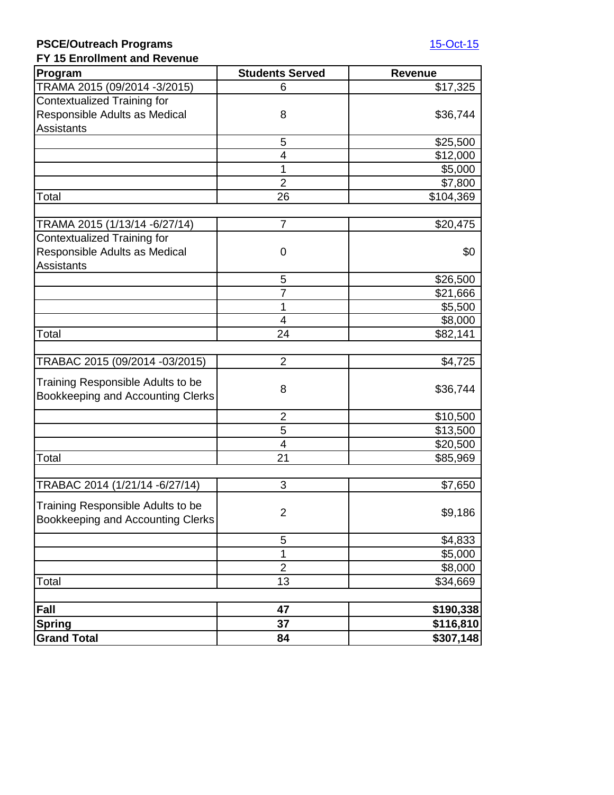### **PSCE/Outreach Programs** [15-Oct-15](mailto:=@now()) **FY 15 Enrollment and Revenue**

| FY 15 Enrollment and Revenue<br>Program                                       | <b>Students Served</b> | <b>Revenue</b> |
|-------------------------------------------------------------------------------|------------------------|----------------|
| TRAMA 2015 (09/2014 -3/2015)                                                  | 6                      | \$17,325       |
| <b>Contextualized Training for</b>                                            |                        |                |
| Responsible Adults as Medical                                                 | 8                      | \$36,744       |
| <b>Assistants</b>                                                             |                        |                |
|                                                                               | 5                      | \$25,500       |
|                                                                               | 4                      | \$12,000       |
|                                                                               | 1                      | \$5,000        |
|                                                                               | $\overline{2}$         | \$7,800        |
| Total                                                                         | 26                     | \$104,369      |
|                                                                               |                        |                |
| TRAMA 2015 (1/13/14 - 6/27/14)                                                | $\overline{7}$         | \$20,475       |
| <b>Contextualized Training for</b>                                            |                        |                |
| Responsible Adults as Medical                                                 | 0                      | \$0            |
| <b>Assistants</b>                                                             |                        |                |
|                                                                               | 5                      | \$26,500       |
|                                                                               | $\overline{7}$         | \$21,666       |
|                                                                               | 1                      | \$5,500        |
|                                                                               | 4                      | \$8,000        |
| Total                                                                         | 24                     | \$82,141       |
|                                                                               |                        |                |
| TRABAC 2015 (09/2014 -03/2015)                                                | $\overline{2}$         | \$4,725        |
| Training Responsible Adults to be<br>Bookkeeping and Accounting Clerks        | 8                      | \$36,744       |
|                                                                               | $\overline{2}$         | \$10,500       |
|                                                                               | 5                      | \$13,500       |
|                                                                               | $\overline{4}$         | \$20,500       |
| Total                                                                         | 21                     | \$85,969       |
|                                                                               |                        |                |
| TRABAC 2014 (1/21/14 - 6/27/14)                                               | 3                      | \$7,650        |
| Training Responsible Adults to be<br><b>Bookkeeping and Accounting Clerks</b> | $\overline{2}$         | \$9,186        |
|                                                                               | 5                      | \$4,833        |
|                                                                               | 1                      | \$5,000        |
|                                                                               | $\overline{2}$         | \$8,000        |
| Total                                                                         | 13                     | \$34,669       |
|                                                                               |                        |                |
| Fall                                                                          | 47                     | \$190,338      |
| <b>Spring</b>                                                                 | 37                     | \$116,810      |
| <b>Grand Total</b>                                                            | 84                     | \$307,148      |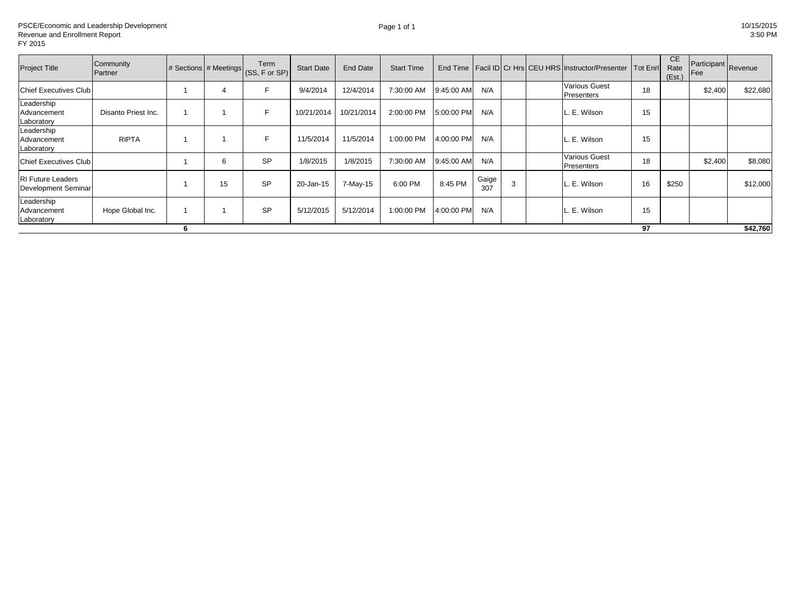| <b>Project Title</b>                            | Community<br>Partner |   | # Sections # Meetings | Term<br>(SS, F or SP) | <b>Start Date</b> | End Date   | <b>Start Time</b> |            |              |   | End Time   Facil ID   Cr Hrs   CEU HRS   Instructor/Presenter   Tot Enrl |    | <b>CE</b><br>Rate<br>(Est.) | Fee     | Participant Revenue |
|-------------------------------------------------|----------------------|---|-----------------------|-----------------------|-------------------|------------|-------------------|------------|--------------|---|--------------------------------------------------------------------------|----|-----------------------------|---------|---------------------|
| <b>Chief Executives Club</b>                    |                      |   |                       | E                     | 9/4/2014          | 12/4/2014  | 7:30:00 AM        | 9:45:00 AM | N/A          |   | <b>Various Guest</b><br><b>Presenters</b>                                | 18 |                             | \$2,400 | \$22,680            |
| Leadership<br>Advancement<br>Laboratory         | Disanto Priest Inc.  |   |                       | F                     | 10/21/2014        | 10/21/2014 | 2:00:00 PM        | 5:00:00 PM | N/A          |   | L. E. Wilson                                                             | 15 |                             |         |                     |
| Leadership<br>Advancement<br>Laboratory         | <b>RIPTA</b>         |   |                       | E                     | 11/5/2014         | 11/5/2014  | 1:00:00 PM        | 4:00:00 PM | N/A          |   | L. E. Wilson                                                             | 15 |                             |         |                     |
| Chief Executives Club I                         |                      |   | 6                     | <b>SP</b>             | 1/8/2015          | 1/8/2015   | 7:30:00 AM        | 9:45:00 AM | N/A          |   | <b>Various Guest</b><br>Presenters                                       | 18 |                             | \$2,400 | \$8,080             |
| <b>RI Future Leaders</b><br>Development Seminar |                      |   | 15                    | <b>SP</b>             | 20-Jan-15         | 7-May-15   | 6:00 PM           | 8:45 PM    | Gaige<br>307 | 3 | L. E. Wilson                                                             | 16 | \$250                       |         | \$12,000            |
| Leadership<br>Advancement<br>Laboratory         | Hope Global Inc.     |   |                       | <b>SP</b>             | 5/12/2015         | 5/12/2014  | 1:00:00 PM        | 4:00:00 PM | N/A          |   | L. E. Wilson                                                             | 15 |                             |         |                     |
|                                                 |                      | 6 |                       |                       |                   |            |                   |            |              |   |                                                                          | 97 |                             |         | \$42,760            |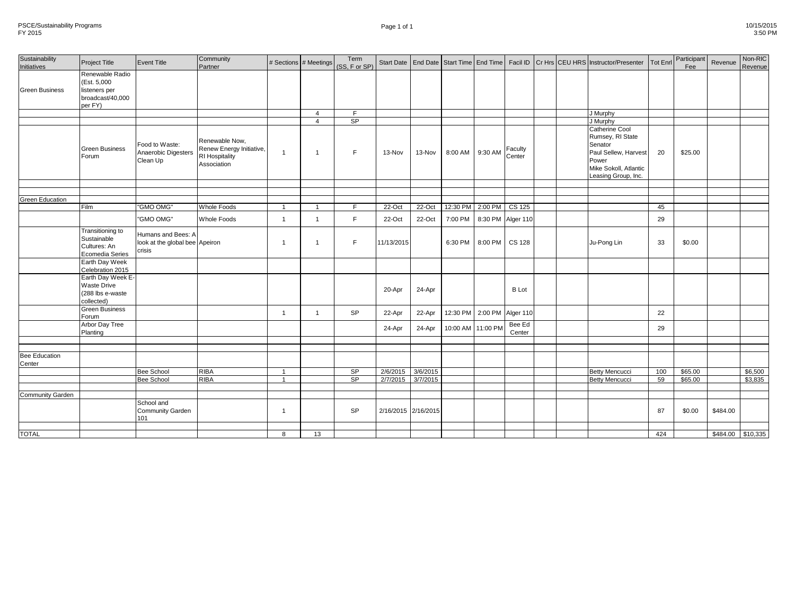| Page 1 of 1 | 10/15/2015 |
|-------------|------------|
|             | 3:50 PM    |

| Sustainability<br>Initiatives | <b>Project Title</b>                                                            | <b>Event Title</b>                                             | Community<br>Partner                                                        |                | # Sections # Meetings | Term<br>(SS, F or SP) |                     |          |                         |          |                   |  | Start Date   End Date   Start Time   End Time   Facil ID   Cr Hrs   CEU HRS   Instructor/Presenter                             | <b>Tot Enrl</b> | Participant<br>Fee | Revenue           | Non-RIC<br>Revenue |
|-------------------------------|---------------------------------------------------------------------------------|----------------------------------------------------------------|-----------------------------------------------------------------------------|----------------|-----------------------|-----------------------|---------------------|----------|-------------------------|----------|-------------------|--|--------------------------------------------------------------------------------------------------------------------------------|-----------------|--------------------|-------------------|--------------------|
| <b>Green Business</b>         | Renewable Radio<br>(Est. 5,000)<br>listeners per<br>broadcast/40,000<br>per FY) |                                                                |                                                                             |                |                       |                       |                     |          |                         |          |                   |  |                                                                                                                                |                 |                    |                   |                    |
|                               |                                                                                 |                                                                |                                                                             |                | $\overline{4}$        | F.                    |                     |          |                         |          |                   |  | J Murphy                                                                                                                       |                 |                    |                   |                    |
|                               |                                                                                 |                                                                |                                                                             |                | $\overline{4}$        | SP                    |                     |          |                         |          |                   |  | J Murphy                                                                                                                       |                 |                    |                   |                    |
|                               | <b>Green Business</b><br>Forum                                                  | Food to Waste:<br>Anaerobic Digesters<br>Clean Up              | Renewable Now,<br>Renew Energy Initiative,<br>RI Hospitality<br>Association | $\overline{1}$ | $\overline{1}$        | F.                    | 13-Nov              | 13-Nov   | 8:00 AM                 | 9:30 AM  | Faculty<br>Center |  | Catherine Cool<br>Rumsey, RI State<br>Senator<br>Paul Sellew, Harvest<br>Power<br>Mike Sokoll, Atlantic<br>Leasing Group, Inc. | 20              | \$25.00            |                   |                    |
|                               |                                                                                 |                                                                |                                                                             |                |                       |                       |                     |          |                         |          |                   |  |                                                                                                                                |                 |                    |                   |                    |
| <b>Green Education</b>        |                                                                                 |                                                                |                                                                             |                |                       |                       |                     |          |                         |          |                   |  |                                                                                                                                |                 |                    |                   |                    |
|                               | Film                                                                            | "GMO OMG"                                                      | <b>Whole Foods</b>                                                          | $\overline{1}$ |                       | F                     | 22-Oct              | 22-Oct   | 12:30 PM 2:00 PM CS 125 |          |                   |  |                                                                                                                                | 45              |                    |                   |                    |
|                               |                                                                                 |                                                                |                                                                             |                |                       |                       |                     |          |                         |          |                   |  |                                                                                                                                |                 |                    |                   |                    |
|                               |                                                                                 | "GMO OMG"                                                      | Whole Foods                                                                 | $\overline{1}$ | $\overline{1}$        | F                     | 22-Oct              | 22-Oct   | 7:00 PM                 |          | 8:30 PM Alger 110 |  |                                                                                                                                | 29              |                    |                   |                    |
|                               | Transitioning to<br>Sustainable<br>Cultures: An<br>Ecomedia Series              | Humans and Bees: A<br>look at the global bee Apeiron<br>crisis |                                                                             |                | $\overline{1}$        | F.                    | 11/13/2015          |          | 6:30 PM                 | 8:00 PM  | <b>CS 128</b>     |  | Ju-Pong Lin                                                                                                                    | 33              | \$0.00             |                   |                    |
|                               | Earth Day Week<br>Celebration 2015                                              |                                                                |                                                                             |                |                       |                       |                     |          |                         |          |                   |  |                                                                                                                                |                 |                    |                   |                    |
|                               | Earth Day Week E-<br><b>Waste Drive</b><br>(288 lbs e-waste<br>collected)       |                                                                |                                                                             |                |                       |                       | 20-Apr              | 24-Apr   |                         |          | <b>B</b> Lot      |  |                                                                                                                                |                 |                    |                   |                    |
|                               | <b>Green Business</b><br>Forum                                                  |                                                                |                                                                             | $\overline{1}$ | $\overline{1}$        | <b>SP</b>             | 22-Apr              | 22-Apr   | 12:30 PM                | 2:00 PM  | Alger 110         |  |                                                                                                                                | 22              |                    |                   |                    |
|                               | Arbor Day Tree<br>Planting                                                      |                                                                |                                                                             |                |                       |                       | 24-Apr              | 24-Apr   | 10:00 AM                | 11:00 PM | Bee Ed<br>Center  |  |                                                                                                                                | 29              |                    |                   |                    |
|                               |                                                                                 |                                                                |                                                                             |                |                       |                       |                     |          |                         |          |                   |  |                                                                                                                                |                 |                    |                   |                    |
|                               |                                                                                 |                                                                |                                                                             |                |                       |                       |                     |          |                         |          |                   |  |                                                                                                                                |                 |                    |                   |                    |
| Bee Education<br>Center       |                                                                                 |                                                                |                                                                             |                |                       |                       |                     |          |                         |          |                   |  |                                                                                                                                |                 |                    |                   |                    |
|                               |                                                                                 | <b>Bee School</b>                                              | <b>RIBA</b>                                                                 |                |                       | SP                    | 2/6/2015            | 3/6/2015 |                         |          |                   |  | <b>Betty Mencucci</b>                                                                                                          | 100             | \$65.00            |                   | \$6,500            |
|                               |                                                                                 | <b>Bee School</b>                                              | <b>RIBA</b>                                                                 | $\overline{1}$ |                       | SP                    | $\frac{2}{7}{2015}$ | 3/7/2015 |                         |          |                   |  | <b>Betty Mencucci</b>                                                                                                          | 59              | \$65.00            |                   | \$3,835            |
|                               |                                                                                 |                                                                |                                                                             |                |                       |                       |                     |          |                         |          |                   |  |                                                                                                                                |                 |                    |                   |                    |
| Community Garden              |                                                                                 |                                                                |                                                                             |                |                       |                       |                     |          |                         |          |                   |  |                                                                                                                                |                 |                    |                   |                    |
|                               |                                                                                 | School and<br><b>Community Garden</b><br>101                   |                                                                             | $\overline{1}$ |                       | SP                    | 2/16/2015 2/16/2015 |          |                         |          |                   |  |                                                                                                                                | 87              | \$0.00             | \$484.00          |                    |
|                               |                                                                                 |                                                                |                                                                             |                |                       |                       |                     |          |                         |          |                   |  |                                                                                                                                |                 |                    |                   |                    |
| <b>TOTAL</b>                  |                                                                                 |                                                                |                                                                             | $\mathsf{R}$   | 13                    |                       |                     |          |                         |          |                   |  |                                                                                                                                | 424             |                    | \$484.00 \$10,335 |                    |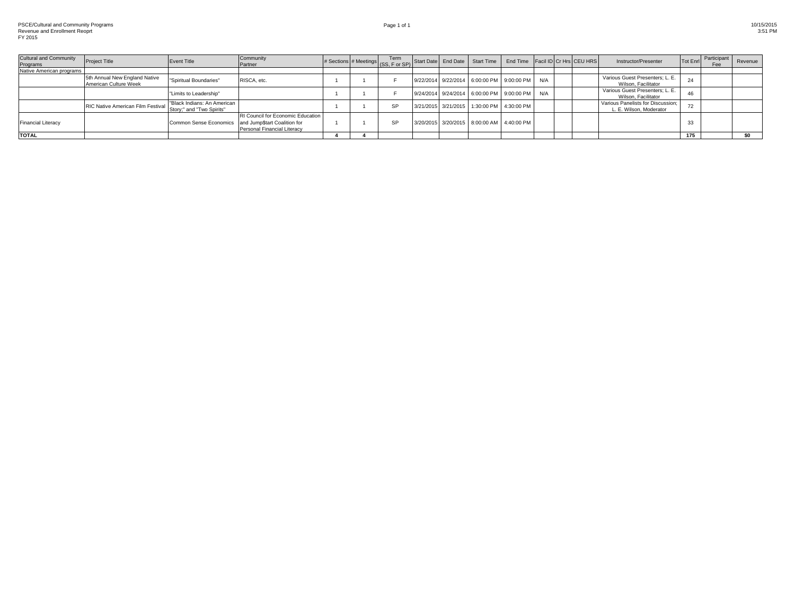| <b>Cultural and Community</b><br>Programs | <b>Project Title</b>                                   | <b>Event Title</b>                                       | Community<br>Partner                                             |  | # Sections # Meetings (SS, F or SP) Start Date End Date Start Time |  |                                               | End Time Facil ID Cr Hrs CEU HRS |  | Instructor/Presenter                                         | Tot Enrl | Participant<br><b>Fee</b> | Revenue |
|-------------------------------------------|--------------------------------------------------------|----------------------------------------------------------|------------------------------------------------------------------|--|--------------------------------------------------------------------|--|-----------------------------------------------|----------------------------------|--|--------------------------------------------------------------|----------|---------------------------|---------|
| Native American programs                  |                                                        |                                                          |                                                                  |  |                                                                    |  |                                               |                                  |  |                                                              |          |                           |         |
|                                           | 5th Annual New England Native<br>American Culture Week | "Spiritual Boundaries"                                   | RISCA, etc.                                                      |  |                                                                    |  | 9/22/2014 9/22/2014 6:00:00 PM 9:00:00 PM N/A |                                  |  | Various Guest Presenters; L. E.<br>Wilson, Facilitator       | 24       |                           |         |
|                                           |                                                        | "Limits to Leadership"                                   |                                                                  |  |                                                                    |  | 9/24/2014 9/24/2014 6:00:00 PM 9:00:00 PM N/A |                                  |  | Various Guest Presenters; L. E.<br>Wilson, Facilitator       | 46       |                           |         |
|                                           | RIC Native American Film Festival                      | "Black Indians: An American<br>Story;" and "Two Spirits" |                                                                  |  | <b>SP</b>                                                          |  | 3/21/2015 3/21/2015 1:30:00 PM 4:30:00 PM     |                                  |  | Various Panelists for Discussion:<br>L. E. Wilson, Moderator | 72       |                           |         |
| <b>Financial Literacy</b>                 |                                                        | Common Sense Economics and Jump\$tart Coalition for      | RI Council for Economic Education<br>Personal Financial Literacy |  | SP                                                                 |  | 3/20/2015 3/20/2015 8:00:00 AM 4:40:00 PM     |                                  |  |                                                              | 33       |                           |         |
| <b>TOTAL</b>                              |                                                        |                                                          |                                                                  |  |                                                                    |  |                                               |                                  |  |                                                              | 175      |                           |         |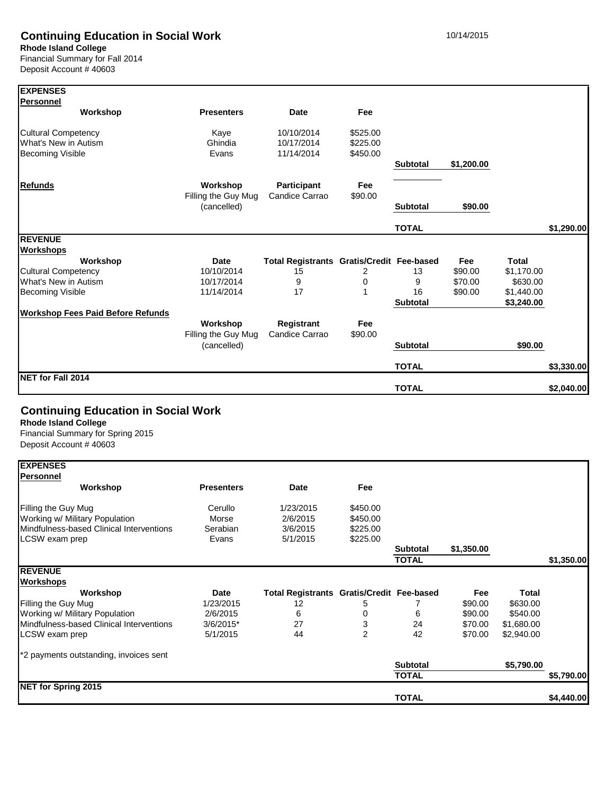# **Continuing Education in Social Work** 10/14/2015

**Rhode Island College**

Financial Summary for Fall 2014 Deposit Account # 40603

| <b>EXPENSES</b>                          |                                    |                                           |            |                 |            |              |            |
|------------------------------------------|------------------------------------|-------------------------------------------|------------|-----------------|------------|--------------|------------|
| <b>Personnel</b>                         |                                    |                                           |            |                 |            |              |            |
| Workshop                                 | <b>Presenters</b>                  | Date                                      | <b>Fee</b> |                 |            |              |            |
| <b>Cultural Competency</b>               | Kaye                               | 10/10/2014                                | \$525.00   |                 |            |              |            |
| What's New in Autism                     | Ghindia                            | 10/17/2014                                | \$225.00   |                 |            |              |            |
| <b>Becoming Visible</b>                  | Evans                              | 11/14/2014                                | \$450.00   |                 |            |              |            |
|                                          |                                    |                                           |            | <b>Subtotal</b> | \$1,200.00 |              |            |
| <b>Refunds</b>                           | Workshop                           | <b>Participant</b>                        | Fee        |                 |            |              |            |
|                                          | Filling the Guy Mug<br>(cancelled) | Candice Carrao                            | \$90.00    | <b>Subtotal</b> | \$90.00    |              |            |
|                                          |                                    |                                           |            | <b>TOTAL</b>    |            |              | \$1,290.00 |
| <b>REVENUE</b>                           |                                    |                                           |            |                 |            |              |            |
| <b>Workshops</b>                         |                                    |                                           |            |                 |            |              |            |
| Workshop                                 | <b>Date</b>                        | Total Registrants Gratis/Credit Fee-based |            |                 | Fee        | <b>Total</b> |            |
| <b>Cultural Competency</b>               | 10/10/2014                         | 15                                        | 2          | 13              | \$90.00    | \$1,170.00   |            |
| What's New in Autism                     | 10/17/2014                         | 9                                         | 0          | 9               | \$70.00    | \$630.00     |            |
| <b>Becoming Visible</b>                  | 11/14/2014                         | 17                                        |            | 16              | \$90.00    | \$1,440.00   |            |
|                                          |                                    |                                           |            | <b>Subtotal</b> |            | \$3,240.00   |            |
| <b>Workshop Fees Paid Before Refunds</b> |                                    |                                           |            |                 |            |              |            |
|                                          | Workshop                           | Registrant                                | Fee        |                 |            |              |            |
|                                          | Filling the Guy Mug                | Candice Carrao                            | \$90.00    |                 |            |              |            |
|                                          | (cancelled)                        |                                           |            | <b>Subtotal</b> |            | \$90.00      |            |
|                                          |                                    |                                           |            | <b>TOTAL</b>    |            |              | \$3,330.00 |
| NET for Fall 2014                        |                                    |                                           |            | <b>TOTAL</b>    |            |              | \$2.040.00 |

# **Continuing Education in Social Work**

**Rhode Island College**

Financial Summary for Spring 2015 Deposit Account # 40603

| <b>EXPENSES</b>                          |                   |                                                  |                |                 |            |              |            |
|------------------------------------------|-------------------|--------------------------------------------------|----------------|-----------------|------------|--------------|------------|
| <b>Personnel</b>                         |                   |                                                  |                |                 |            |              |            |
| Workshop                                 | <b>Presenters</b> | <b>Date</b>                                      | Fee            |                 |            |              |            |
| Filling the Guy Mug                      | Cerullo           | 1/23/2015                                        | \$450.00       |                 |            |              |            |
| Working w/ Military Population           | Morse             | 2/6/2015                                         | \$450.00       |                 |            |              |            |
| Mindfulness-based Clinical Interventions | Serabian          | 3/6/2015                                         | \$225.00       |                 |            |              |            |
| LCSW exam prep                           | Evans             | 5/1/2015                                         | \$225.00       |                 |            |              |            |
|                                          |                   |                                                  |                | <b>Subtotal</b> | \$1,350.00 |              |            |
|                                          |                   |                                                  |                | <b>TOTAL</b>    |            |              | \$1,350.00 |
| <b>REVENUE</b>                           |                   |                                                  |                |                 |            |              |            |
| <b>Workshops</b>                         |                   |                                                  |                |                 |            |              |            |
| Workshop                                 | Date              | <b>Total Registrants Gratis/Credit Fee-based</b> |                |                 | Fee        | <b>Total</b> |            |
| Filling the Guy Mug                      | 1/23/2015         | 12                                               | 5              |                 | \$90.00    | \$630.00     |            |
| Working w/ Military Population           | 2/6/2015          | 6                                                |                | 6               | \$90.00    | \$540.00     |            |
| Mindfulness-based Clinical Interventions | 3/6/2015*         | 27                                               | 3              | 24              | \$70.00    | \$1,680.00   |            |
| LCSW exam prep                           | 5/1/2015          | 44                                               | $\overline{2}$ | 42              | \$70.00    | \$2,940.00   |            |
| *2 payments outstanding, invoices sent   |                   |                                                  |                |                 |            |              |            |
|                                          |                   |                                                  |                | <b>Subtotal</b> |            | \$5,790.00   |            |
|                                          |                   |                                                  |                | TOTAL           |            |              | \$5,790.00 |
| NET for Spring 2015                      |                   |                                                  |                |                 |            |              |            |
|                                          |                   |                                                  |                | <b>TOTAL</b>    |            |              | \$4,440.00 |